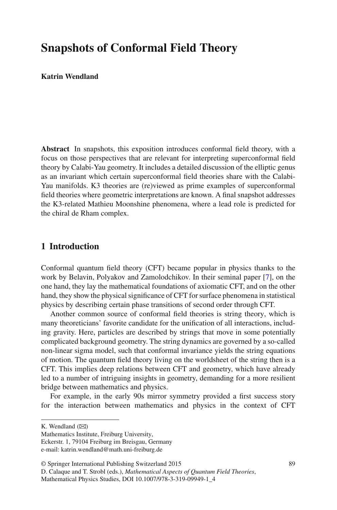# **Snapshots of Conformal Field Theory**

#### **Katrin Wendland**

**Abstract** In snapshots, this exposition introduces conformal field theory, with a focus on those perspectives that are relevant for interpreting superconformal field theory by Calabi-Yau geometry. It includes a detailed discussion of the elliptic genus as an invariant which certain superconformal field theories share with the Calabi-Yau manifolds. K3 theories are (re)viewed as prime examples of superconformal field theories where geometric interpretations are known. A final snapshot addresses the K3-related Mathieu Moonshine phenomena, where a lead role is predicted for the chiral de Rham complex.

# **1 Introduction**

Conformal quantum field theory (CFT) became popular in physics thanks to the work by Belavin, Polyakov and Zamolodchikov. In their seminal paper [\[7](#page-37-0)], on the one hand, they lay the mathematical foundations of axiomatic CFT, and on the other hand, they show the physical significance of CFT for surface phenomena in statistical physics by describing certain phase transitions of second order through CFT.

Another common source of conformal field theories is string theory, which is many theoreticians' favorite candidate for the unification of all interactions, including gravity. Here, particles are described by strings that move in some potentially complicated background geometry. The string dynamics are governed by a so-called non-linear sigma model, such that conformal invariance yields the string equations of motion. The quantum field theory living on the worldsheet of the string then is a CFT. This implies deep relations between CFT and geometry, which have already led to a number of intriguing insights in geometry, demanding for a more resilient bridge between mathematics and physics.

For example, in the early 90s mirror symmetry provided a first success story for the interaction between mathematics and physics in the context of CFT

Mathematics Institute, Freiburg University, Eckerstr. 1, 79104 Freiburg im Breisgau, Germany e-mail: katrin.wendland@math.uni-freiburg.de

D. Calaque and T. Strobl (eds.), *Mathematical Aspects of Quantum Field Theories*, Mathematical Physics Studies, DOI 10.1007/978-3-319-09949-1\_4

K. Wendland  $(\boxtimes)$ 

<sup>©</sup> Springer International Publishing Switzerland 2015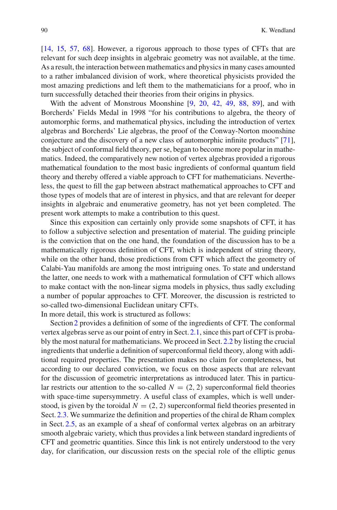[\[14,](#page-37-1) [15,](#page-37-2) [57,](#page-39-0) [68\]](#page-39-1). However, a rigorous approach to those types of CFTs that are relevant for such deep insights in algebraic geometry was not available, at the time. As a result, the interaction between mathematics and physics in many cases amounted to a rather imbalanced division of work, where theoretical physicists provided the most amazing predictions and left them to the mathematicians for a proof, who in turn successfully detached their theories from their origins in physics.

With the advent of Monstrous Moonshine [\[9](#page-37-3), [20,](#page-37-4) [42](#page-38-0), [49](#page-38-1), [88,](#page-40-0) [89](#page-40-1)], and with Borcherds' Fields Medal in 1998 "for his contributions to algebra, the theory of automorphic forms, and mathematical physics, including the introduction of vertex algebras and Borcherds' Lie algebras, the proof of the Conway-Norton moonshine conjecture and the discovery of a new class of automorphic infinite products" [\[71](#page-39-2)], the subject of conformal field theory, per se, began to become more popular in mathematics. Indeed, the comparatively new notion of vertex algebras provided a rigorous mathematical foundation to the most basic ingredients of conformal quantum field theory and thereby offered a viable approach to CFT for mathematicians. Nevertheless, the quest to fill the gap between abstract mathematical approaches to CFT and those types of models that are of interest in physics, and that are relevant for deeper insights in algebraic and enumerative geometry, has not yet been completed. The present work attempts to make a contribution to this quest.

Since this exposition can certainly only provide some snapshots of CFT, it has to follow a subjective selection and presentation of material. The guiding principle is the conviction that on the one hand, the foundation of the discussion has to be a mathematically rigorous definition of CFT, which is independent of string theory, while on the other hand, those predictions from CFT which affect the geometry of Calabi-Yau manifolds are among the most intriguing ones. To state and understand the latter, one needs to work with a mathematical formulation of CFT which allows to make contact with the non-linear sigma models in physics, thus sadly excluding a number of popular approaches to CFT. Moreover, the discussion is restricted to so-called two-dimensional Euclidean unitary CFTs. In more detail, this work is structured as follows:

Section [2](#page-2-0) provides a definition of some of the ingredients of CFT. The conformal vertex algebras serve as our point of entry in Sect. [2.1,](#page-3-0) since this part of CFT is probably the most natural for mathematicians. We proceed in Sect. [2.2](#page-10-0) by listing the crucial ingredients that underlie a definition of superconformal field theory, along with additional required properties. The presentation makes no claim for completeness, but according to our declared conviction, we focus on those aspects that are relevant for the discussion of geometric interpretations as introduced later. This in particular restricts our attention to the so-called  $N = (2, 2)$  superconformal field theories with space-time supersymmetry. A useful class of examples, which is well understood, is given by the toroidal  $N = (2, 2)$  superconformal field theories presented in Sect. [2.3.](#page-17-0) We summarize the definition and properties of the chiral de Rham complex in Sect. [2.5,](#page-22-0) as an example of a sheaf of conformal vertex algebras on an arbitrary smooth algebraic variety, which thus provides a link between standard ingredients of CFT and geometric quantities. Since this link is not entirely understood to the very day, for clarification, our discussion rests on the special role of the elliptic genus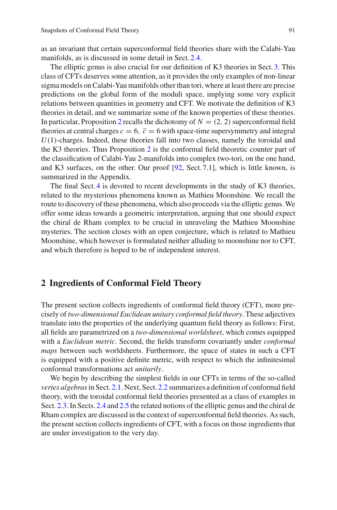as an invariant that certain superconformal field theories share with the Calabi-Yau manifolds, as is discussed in some detail in Sect. [2.4.](#page-18-0)

The elliptic genus is also crucial for our definition of K3 theories in Sect. [3.](#page-24-0) This class of CFTs deserves some attention, as it provides the only examples of non-linear sigma models on Calabi-Yau manifolds other than tori, where at least there are precise predictions on the global form of the moduli space, implying some very explicit relations between quantities in geometry and CFT. We motivate the definition of K3 theories in detail, and we summarize some of the known properties of these theories. In particular, Proposition [2](#page-25-0) recalls the dichotomy of  $N = (2, 2)$  superconformal field theories at central charges  $c = 6$ ,  $\bar{c} = 6$  with space-time supersymmetry and integral *U*(1)-charges. Indeed, these theories fall into two classes, namely the toroidal and the K3 theories. Thus Proposition [2](#page-25-0) is the conformal field theoretic counter part of the classification of Calabi-Yau 2-manifolds into complex two-tori, on the one hand, and K3 surfaces, on the other. Our proof [\[92,](#page-40-2) Sect. 7.1], which is little known, is summarized in the Appendix.

The final Sect. [4](#page-28-0) is devoted to recent developments in the study of K3 theories, related to the mysterious phenomena known as Mathieu Moonshine. We recall the route to discovery of these phenomena, which also proceeds via the elliptic genus. We offer some ideas towards a geometric interpretation, arguing that one should expect the chiral de Rham complex to be crucial in unraveling the Mathieu Moonshine mysteries. The section closes with an open conjecture, which is related to Mathieu Moonshine, which however is formulated neither alluding to moonshine nor to CFT, and which therefore is hoped to be of independent interest.

### <span id="page-2-0"></span>**2 Ingredients of Conformal Field Theory**

The present section collects ingredients of conformal field theory (CFT), more precisely of *two-dimensional Euclidean unitary conformal field theory*. These adjectives translate into the properties of the underlying quantum field theory as follows: First, all fields are parametrized on a *two-dimensional worldsheet*, which comes equipped with a *Euclidean metric*. Second, the fields transform covariantly under *conformal maps* between such worldsheets. Furthermore, the space of states in such a CFT is equipped with a positive definite metric, with respect to which the infinitesimal conformal transformations act *unitarily*.

We begin by describing the simplest fields in our CFTs in terms of the so-called *vertex algebras*in Sect. [2.1.](#page-3-0) Next, Sect. [2.2](#page-10-0) summarizes a definition of conformal field theory, with the toroidal conformal field theories presented as a class of examples in Sect. [2.3.](#page-17-0) In Sects. [2.4](#page-18-0) and [2.5](#page-22-0) the related notions of the elliptic genus and the chiral de Rham complex are discussed in the context of superconformal field theories. As such, the present section collects ingredients of CFT, with a focus on those ingredients that are under investigation to the very day.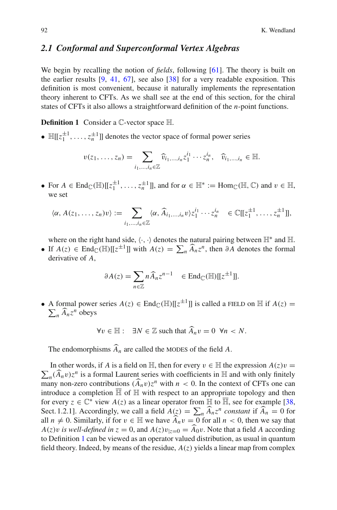## <span id="page-3-0"></span>*2.1 Conformal and Superconformal Vertex Algebras*

We begin by recalling the notion of *fields*, following [\[61](#page-39-3)]. The theory is built on the earlier results [\[9,](#page-37-3) [41,](#page-38-2) [67\]](#page-39-4), see also [\[38](#page-38-3)] for a very readable exposition. This definition is most convenient, because it naturally implements the representation theory inherent to CFTs. As we shall see at the end of this section, for the chiral states of CFTs it also allows a straightforward definition of the *n*-point functions.

<span id="page-3-1"></span>**Definition 1** Consider a C-vector space H.

•  $\mathbb{H}[[z_1^{\pm 1},..., z_n^{\pm 1}]]$  denotes the vector space of formal power series

$$
v(z_1,\ldots,z_n)=\sum_{i_1,\ldots,i_n\in\mathbb{Z}}\widehat{v}_{i_1,\ldots,i_n}z_1^{i_1}\cdots z_n^{i_n},\quad \widehat{v}_{i_1,\ldots,i_n}\in\mathbb{H}.
$$

• For  $A \in \text{End}_{\mathbb{C}}(\mathbb{H})[[z_1^{\pm 1}, \ldots, z_n^{\pm 1}]],$  and for  $\alpha \in \mathbb{H}^* := \text{Hom}_{\mathbb{C}}(\mathbb{H}, \mathbb{C})$  and  $v \in \mathbb{H}$ , we set

$$
\langle \alpha, A(z_1,\ldots,z_n)v\rangle := \sum_{i_1,\ldots,i_n\in\mathbb{Z}} \langle \alpha, \widehat{A}_{i_1,\ldots,i_n}v\rangle z_1^{i_1}\cdots z_n^{i_n} \in \mathbb{C}[[z_1^{\pm 1},\ldots,z_n^{\pm 1}]],
$$

where on the right hand side,  $\langle \cdot, \cdot \rangle$  denotes the natural pairing between  $\mathbb{H}^*$  and  $\mathbb{H}$ .

• If  $A(z) \in \text{End}_{\mathbb{C}}(\mathbb{H})[[z^{\pm 1}]]$  with  $A(z) = \sum_{n} \widehat{A}_n z^n$ , then ∂ *A* denotes the formal derivative of *A*,

$$
\partial A(z) = \sum_{n \in \mathbb{Z}} n \widehat{A}_n z^{n-1} \quad \in \text{End}_{\mathbb{C}}(\mathbb{H})[[z^{\pm 1}]].
$$

• A formal power series  $A(z) \in \text{End}_{\mathbb{C}}(\mathbb{H})[[z^{\pm 1}]]$  is called a FIELD on  $\mathbb{H}$  if  $A(z) = \overline{z}$  $\sum_{n} \widehat{A}_n z^n$  obeys

$$
\forall v \in \mathbb{H} : \quad \exists N \in \mathbb{Z} \text{ such that } \widehat{A}_n v = 0 \ \forall n < N.
$$

The endomorphisms  $\widehat{A}_n$  are called the MODES of the field *A*.

 $\sum_{n}(\widehat{A}_{n}v)z^{n}$  is a formal Laurent series with coefficients in H and with only finitely In other words, if *A* is a field on H, then for every  $v \in \mathbb{H}$  the expression  $A(z)v =$ many non-zero contributions  $(\widehat{A}_n v)z^n$  with  $n < 0$ . In the context of CFTs one can<br>introduce a completion  $\overline{m}$  of  $\overline{m}$  with respect to an appropriate tendorus and then introduce a completion  $\mathbb H$  of  $\mathbb H$  with respect to an appropriate topology and then for every  $z \in \mathbb{C}^*$  view  $A(z)$  as a linear operator from  $\mathbb H$  to  $\overline{\mathbb H}$ , see for example [\[38,](#page-38-3) Sect. 1.2.1]. Accordingly, we call a field  $A(z) = \sum_{n} \widehat{A}_n z^n$  constant if  $\widehat{A}_n = 0$  for all  $n \neq 0$ . Similarly, if for  $v \in \mathbb{H}$  we have  $\widehat{A}_n v = 0$  for all  $n < 0$ , then we say that  $A(z)v$  *is well-defined in*  $z = 0$ , and  $A(z)v_{|z=0} = A_0v$ . Note that a field *A* according to Definition 1 and his viewed as an approximated distribution as usual in spectrum to Definition [1](#page-3-1) can be viewed as an operator valued distribution, as usual in quantum field theory. Indeed, by means of the residue, *A*(*z*) yields a linear map from complex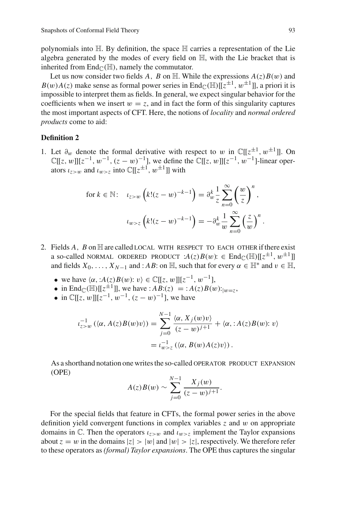polynomials into  $H$ . By definition, the space  $H$  carries a representation of the Lie algebra generated by the modes of every field on  $\mathbb{H}$ , with the Lie bracket that is inherited from  $\text{End}_{\mathbb{C}}(\mathbb{H})$ , namely the commutator.

Let us now consider two fields A, B on H. While the expressions  $A(z)B(w)$  and  $B(w)A(z)$  make sense as formal power series in End<sub>C</sub>(H)[[ $z^{\pm 1}$ ,  $w^{\pm 1}$ ]], a priori it is impossible to interpret them as fields. In general, we expect singular behavior for the coefficients when we insert  $w = z$ , and in fact the form of this singularity captures the most important aspects of CFT. Here, the notions of *locality* and *normal ordered products* come to aid:

#### <span id="page-4-0"></span>**Definition 2**

1. Let  $\partial_w$  denote the formal derivative with respect to w in  $\mathbb{C}[[z^{\pm 1}, w^{\pm 1}]]$ . On  $\mathbb{C}[[z, w]][z^{-1}, w^{-1}, (z-w)^{-1}]$ , we define the  $\mathbb{C}[[z, w]][z^{-1}, w^{-1}]$ -linear operators  $\iota_{z>w}$  and  $\iota_{w>z}$  into  $\mathbb{C}[[z^{\pm 1}, w^{\pm 1}]]$  with

for 
$$
k \in \mathbb{N}
$$
:  $\iota_{z>w} \left( k! (z - w)^{-k-1} \right) = \partial_w^k \frac{1}{z} \sum_{n=0}^{\infty} \left( \frac{w}{z} \right)^n$ ,  

$$
\iota_{w > z} \left( k! (z - w)^{-k-1} \right) = -\partial_w^k \frac{1}{w} \sum_{n=0}^{\infty} \left( \frac{z}{w} \right)^n.
$$

- 2. Fields  $A$ ,  $B$  on  $\mathbb H$  are called LOCAL WITH RESPECT TO EACH OTHER if there exist a so-called NORMAL ORDERED PRODUCT : $A(z)B(w)$ : ∈ End<sub>C</sub>(H)[[ $z^{\pm 1}$ ,  $w^{\pm 1}$ ]] and fields  $X_0, \ldots, X_{N-1}$  and : *AB*: on H, such that for every  $\alpha \in \mathbb{H}^*$  and  $v \in \mathbb{H}$ ,
	- we have  $\langle \alpha, :A(z)B(w): v \rangle \in \mathbb{C}[[z, w]][z^{-1}, w^{-1}],$
	- in End<sub>C</sub>(H)[[ $z^{\pm 1}$ ]], we have :  $AB:(z) = A(z)B(w):_{|w=z}$ ,
	- in  $\mathbb{C}[[z, w]][z^{-1}, w^{-1}, (z-w)^{-1}]$ , we have

$$
u_{z>w}^{-1} (\langle \alpha, A(z)B(w)v \rangle) = \sum_{j=0}^{N-1} \frac{\langle \alpha, X_j(w)v \rangle}{(z-w)^{j+1}} + \langle \alpha, : A(z)B(w): v \rangle
$$
  
= 
$$
u_{w-z}^{-1} (\langle \alpha, B(w)A(z)v \rangle).
$$

As a shorthand notation one writes the so-called OPERATOR PRODUCT EXPANSION (OPE)

$$
A(z)B(w) \sim \sum_{j=0}^{N-1} \frac{X_j(w)}{(z-w)^{j+1}}.
$$

For the special fields that feature in CFTs, the formal power series in the above definition yield convergent functions in complex variables *z* and w on appropriate domains in C. Then the operators  $\iota_{z>w}$  and  $\iota_{w>z}$  implement the Taylor expansions about  $z = w$  in the domains  $|z| > |w|$  and  $|w| > |z|$ , respectively. We therefore refer to these operators as *(formal) Taylor expansions*. The OPE thus captures the singular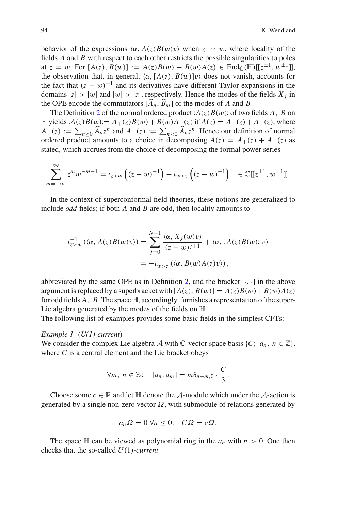behavior of the expressions  $\langle \alpha, A(z)B(w)v \rangle$  when  $z \sim w$ , where locality of the fields *A* and *B* with respect to each other restricts the possible singularities to poles  $\text{at } z = w. \text{ For } [A(z), B(w)] := A(z)B(w) - B(w)A(z) \in \text{End}_{\mathbb{C}}(\mathbb{H})[\![z^{\pm 1}, w^{\pm 1}]\!],$ the observation that, in general,  $\langle \alpha, [A(\zeta), B(w)]\nu \rangle$  does not vanish, accounts for the fact that  $(z - w)^{-1}$  and its derivatives have different Taylor expansions in the domains  $|z| > |w|$  and  $|w| > |z|$ , respectively. Hence the modes of the fields  $X_i$  in the OPE encode the commutators  $[A_n, B_m]$  of the modes of *A* and *B*.<br>The Definition 2 of the normal ordered product  $A(c, B(w))$  of two

The Definition [2](#page-4-0) of the normal ordered product : $A(z)B(w)$ : of two fields A, B on  $\Box$  Figure  $A(z)B(w) := A_+(z)B(w) + B(w)A_-(z)$  if  $A(z) = A_+(z) + A_-(z)$ , where  $A_+(z) := \sum_{n \geq 0} \widehat{A}_n z^n$  and  $A_-(z) := \sum_{n \leq 0} \widehat{A}_n z^n$ . Hence our definition of normal explored product exponents to a photos in decomposing  $A_-(z) = A_-(z) + A_-(z)$ ordered product amounts to a choice in decomposing  $A(z) = A_+(z) + A_-(z)$  as stated, which accrues from the choice of decomposing the formal power series

$$
\sum_{m=-\infty}^{\infty} z^m w^{-m-1} = \iota_{z>w} \left( (z-w)^{-1} \right) - \iota_{w > z} \left( (z-w)^{-1} \right) \in \mathbb{C}[[z^{\pm 1}, w^{\pm 1}]].
$$

In the context of superconformal field theories, these notions are generalized to include *odd* fields; if both *A* and *B* are odd, then locality amounts to

$$
\iota_{z>w}^{-1} (\langle \alpha, A(z)B(w)v \rangle) = \sum_{j=0}^{N-1} \frac{\langle \alpha, X_j(w)v \rangle}{(z-w)^{j+1}} + \langle \alpha, : A(z)B(w): v \rangle
$$
  
= 
$$
- \iota_{w>z}^{-1} (\langle \alpha, B(w)A(z)v \rangle),
$$

abbreviated by the same OPE as in Definition [2,](#page-4-0) and the bracket  $[\cdot, \cdot]$  in the above argument is replaced by a superbracket with  $[A(z), B(w)] = A(z)B(w) + B(w)A(z)$ for odd fields  $A$ ,  $B$ . The space  $\mathbb{H}$ , accordingly, furnishes a representation of the super-Lie algebra generated by the modes of the fields on H.

<span id="page-5-0"></span>The following list of examples provides some basic fields in the simplest CFTs:

#### *Example 1* (*U(1)-current*)

We consider the complex Lie algebra *A* with C-vector space basis {*C*;  $a_n$ ,  $n \in \mathbb{Z}$ }, where  $C$  is a central element and the Lie bracket obeys

$$
\forall m, n \in \mathbb{Z}: \quad [a_n, a_m] = m\delta_{n+m,0} \cdot \frac{C}{3}.
$$

Choose some  $c \in \mathbb{R}$  and let  $\mathbb{H}$  denote the *A*-module which under the *A*-action is generated by a single non-zero vector  $\Omega$ , with submodule of relations generated by

$$
a_n\Omega = 0 \,\forall n \leq 0, \quad C\Omega = c\Omega.
$$

The space  $\mathbb H$  can be viewed as polynomial ring in the  $a_n$  with  $n > 0$ . One then checks that the so-called *U*(1)-*current*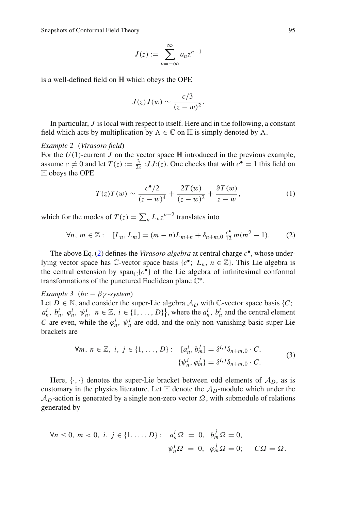$$
J(z) := \sum_{n=-\infty}^{\infty} a_n z^{n-1}
$$

is a well-defined field on  $H$  which obeys the OPE

$$
J(z)J(w) \sim \frac{c/3}{(z-w)^2}.
$$

In particular, *J* is local with respect to itself. Here and in the following, a constant field which acts by multiplication by  $\Lambda \in \mathbb{C}$  on  $\mathbb H$  is simply denoted by  $\Lambda$ .

#### <span id="page-6-1"></span>*Example 2* (*Virasoro field*)

<span id="page-6-2"></span>For the  $U(1)$ -current *J* on the vector space  $\mathbb H$  introduced in the previous example, assume  $c \neq 0$  and let  $T(z) := \frac{3}{2c}$  :*J J*:(*z*). One checks that with  $c^{\bullet} = 1$  this field on H obeys the OPE

$$
T(z)T(w) \sim \frac{c^{\bullet}/2}{(z-w)^4} + \frac{2T(w)}{(z-w)^2} + \frac{\partial T(w)}{z-w},
$$
 (1)

<span id="page-6-0"></span>which for the modes of  $T(z) = \sum_n L_n z^{n-2}$  translates into

$$
\forall n, \, m \in \mathbb{Z}: \quad [L_n, L_m] = (m - n)L_{m+n} + \delta_{n+m,0} \frac{c^n}{12} m(m^2 - 1). \tag{2}
$$

The above Eq. [\(2\)](#page-6-0) defines the *Virasoro algebra* at central charge *c*•, whose underlying vector space has C-vector space basis  $\{c^{\bullet}; L_n, n \in \mathbb{Z}\}\$ . This Lie algebra is the central extension by span<sub>C</sub>{ $c^{\bullet}$ } of the Lie algebra of infinitesimal conformal transformations of the punctured Euclidean plane C∗.

<span id="page-6-3"></span>*Example 3* (*bc*  $-\beta\gamma$ *-system*)

Let  $D \in \mathbb{N}$ , and consider the super-Lie algebra  $\mathcal{A}_D$  with C-vector space basis {*C*;  $a_n^i$ ,  $b_n^i$ ,  $\varphi_n^i$ ,  $\psi_n^i$ ,  $n \in \mathbb{Z}$ ,  $i \in \{1, ..., D\}\}$ , where the  $a_n^i$ ,  $b_n^i$  and the central element *C* are even, while the  $\varphi_n^i$ ,  $\psi_n^i$  are odd, and the only non-vanishing basic super-Lie brackets are

$$
\forall m, n \in \mathbb{Z}, i, j \in \{1, ..., D\}: [a_n^i, b_m^j] = \delta^{i,j} \delta_{n+m,0} \cdot C,
$$
  

$$
\{\psi_n^i, \varphi_m^j\} = \delta^{i,j} \delta_{n+m,0} \cdot C.
$$
 (3)

<span id="page-6-4"></span>Here,  $\{\cdot,\cdot\}$  denotes the super-Lie bracket between odd elements of  $A_D$ , as is customary in the physics literature. Let  $\mathbb{H}$  denote the  $\mathcal{A}_D$ -module which under the  $A<sub>D</sub>$ -action is generated by a single non-zero vector  $\Omega$ , with submodule of relations generated by

$$
\forall n \le 0, m < 0, i, j \in \{1, ..., D\}
$$
:  $a_n^i \Omega = 0, b_m^j \Omega = 0,$   
 $\psi_n^i \Omega = 0, \varphi_m^j \Omega = 0$ ;  $C\Omega = \Omega$ .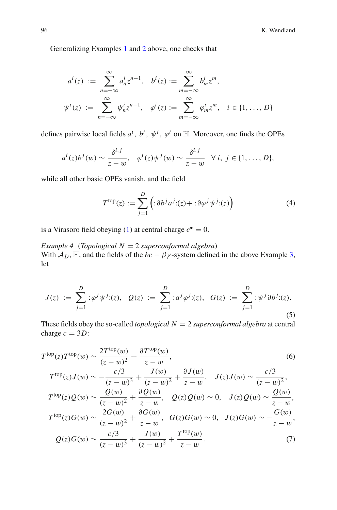Generalizing Examples [1](#page-5-0) and [2](#page-6-1) above, one checks that

$$
a^{i}(z) := \sum_{n=-\infty}^{\infty} a_{n}^{i} z^{n-1}, \quad b^{i}(z) := \sum_{m=-\infty}^{\infty} b_{m}^{i} z^{m},
$$
  

$$
\psi^{i}(z) := \sum_{n=-\infty}^{\infty} \psi_{n}^{i} z^{n-1}, \quad \varphi^{i}(z) := \sum_{m=-\infty}^{\infty} \varphi_{m}^{i} z^{m}, \quad i \in \{1, ..., D\}
$$

defines pairwise local fields  $a^i$ ,  $b^i$ ,  $\psi^i$ ,  $\varphi^i$  on  $\mathbb{H}$ . Moreover, one finds the OPEs

$$
a^i(z)b^j(w) \sim \frac{\delta^{i,j}}{z-w}, \quad \varphi^i(z)\psi^j(w) \sim \frac{\delta^{i,j}}{z-w} \quad \forall \ i, j \in \{1, \ldots, D\},\
$$

<span id="page-7-2"></span>while all other basic OPEs vanish, and the field

$$
T^{\text{top}}(z) := \sum_{j=1}^{D} \left( : \partial b^j a^j : (z) + : \partial \varphi^j \psi^j : (z) \right) \tag{4}
$$

is a Virasoro field obeying [\(1\)](#page-6-2) at central charge  $c^{\bullet} = 0$ .

<span id="page-7-4"></span>*Example 4* (*Topological N* = 2 *superconformal algebra*) With  $A_D$ , H, and the fields of the  $bc - \beta \gamma$ -system defined in the above Example [3,](#page-6-3) let

<span id="page-7-3"></span>
$$
J(z) := \sum_{j=1}^{D} \, : \, \varphi^{j} \psi^{j} \cdot (z), \quad Q(z) := \sum_{j=1}^{D} \, : \, a^{j} \varphi^{j} \cdot (z), \quad G(z) := \sum_{j=1}^{D} \, : \, \psi^{j} \partial b^{j} \cdot (z).
$$

These fields obey the so-called *topological*  $N = 2$  *superconformal algebra* at central charge  $c = 3D$ :

<span id="page-7-5"></span><span id="page-7-1"></span><span id="page-7-0"></span>
$$
T^{\text{top}}(z)T^{\text{top}}(w) \sim \frac{2T^{\text{top}}(w)}{(z-w)^2} + \frac{\partial T^{\text{top}}(w)}{z-w},
$$
(6)  

$$
T^{\text{top}}(z)J(w) \sim -\frac{c/3}{(z-w)^3} + \frac{J(w)}{(z-w)^2} + \frac{\partial J(w)}{z-w}, \quad J(z)J(w) \sim \frac{c/3}{(z-w)^2},
$$
  

$$
T^{\text{top}}(z)Q(w) \sim \frac{Q(w)}{(z-w)^2} + \frac{\partial Q(w)}{z-w}, \quad Q(z)Q(w) \sim 0, \quad J(z)Q(w) \sim \frac{Q(w)}{z-w},
$$
  

$$
T^{\text{top}}(z)G(w) \sim \frac{2G(w)}{(z-w)^2} + \frac{\partial G(w)}{z-w}, \quad G(z)G(w) \sim 0, \quad J(z)G(w) \sim -\frac{G(w)}{z-w},
$$
  

$$
Q(z)G(w) \sim \frac{c/3}{(z-w)^3} + \frac{J(w)}{(z-w)^2} + \frac{T^{\text{top}}(w)}{z-w}.
$$
(7)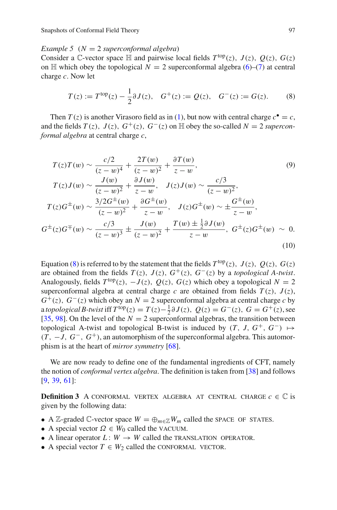#### *Example* 5 ( $N = 2$  *superconformal algebra*)

<span id="page-8-0"></span>Consider a C-vector space  $\mathbb H$  and pairwise local fields  $T^{\text{top}}(z)$ ,  $J(z)$ ,  $Q(z)$ ,  $G(z)$ on  $\mathbb{H}$  which obey the topological  $N = 2$  superconformal algebra [\(6\)](#page-7-0)–[\(7\)](#page-7-1) at central charge *c*. Now let

<span id="page-8-2"></span>
$$
T(z) := T^{\text{top}}(z) - \frac{1}{2}\partial J(z), \quad G^+(z) := Q(z), \quad G^-(z) := G(z). \tag{8}
$$

Then  $T(z)$  is another Virasoro field as in [\(1\)](#page-6-2), but now with central charge  $c^* = c$ , and the fields  $T(z)$ ,  $J(z)$ ,  $G^+(z)$ ,  $G^-(z)$  on  $\mathbb H$  obey the so-called  $N = 2$  *superconformal algebra* at central charge *c*,

$$
T(z)T(w) \sim \frac{c/2}{(z-w)^4} + \frac{2T(w)}{(z-w)^2} + \frac{\partial T(w)}{z-w},
$$
(9)  

$$
T(z)J(w) \sim \frac{J(w)}{(z-w)^2} + \frac{\partial J(w)}{z-w}, \quad J(z)J(w) \sim \frac{c/3}{(z-w)^2},
$$
  

$$
T(z)G^{\pm}(w) \sim \frac{3/2G^{\pm}(w)}{(z-w)^2} + \frac{\partial G^{\pm}(w)}{z-w}, \quad J(z)G^{\pm}(w) \sim \pm \frac{G^{\pm}(w)}{z-w},
$$
  

$$
G^{\pm}(z)G^{\mp}(w) \sim \frac{c/3}{(z-w)^3} \pm \frac{J(w)}{(z-w)^2} + \frac{T(w) \pm \frac{1}{2}\partial J(w)}{z-w}, \quad G^{\pm}(z)G^{\pm}(w) \sim 0.
$$
(10)

<span id="page-8-3"></span>Equation [\(8\)](#page-8-0) is referred to by the statement that the fields  $T^{top}(z)$ ,  $J(z)$ ,  $O(z)$ ,  $G(z)$ are obtained from the fields  $T(z)$ ,  $J(z)$ ,  $G^+(z)$ ,  $G^-(z)$  by a *topological A-twist*. Analogously, fields  $T^{top}(z)$ ,  $-J(z)$ ,  $Q(z)$ ,  $G(z)$  which obey a topological  $N = 2$ superconformal algebra at central charge *c* are obtained from fields  $T(z)$ ,  $J(z)$ ,  $G^+(z)$ ,  $G^-(z)$  which obey an  $N = 2$  superconformal algebra at central charge *c* by a *topological* B-twist iff  $T^{\text{top}}(z) = T(z) - \frac{1}{2} \partial J(z), Q(z) = G^{-}(z), G = G^{+}(z)$ , see [\[35,](#page-38-4) [98](#page-40-3)]. On the level of the  $N = 2$  superconformal algebras, the transition between topological A-twist and topological B-twist is induced by  $(T, J, G^+, G^-) \mapsto$  $(T, -J, G^-, G^+)$ , an automorphism of the superconformal algebra. This automorphism is at the heart of *mirror symmetry* [\[68\]](#page-39-1).

We are now ready to define one of the fundamental ingredients of CFT, namely the notion of *conformal vertex algebra*. The definition is taken from [\[38\]](#page-38-3) and follows [\[9,](#page-37-3) [39,](#page-38-5) [61](#page-39-3)]:

<span id="page-8-1"></span>**Definition 3** A CONFORMAL VERTEX ALGEBRA AT CENTRAL CHARGE  $c \in \mathbb{C}$  is given by the following data:

- A Z-graded C-vector space  $W = \bigoplus_{m \in \mathbb{Z}} W_m$  called the SPACE OF STATES.
- A special vector  $\Omega \in W_0$  called the VACUUM.
- A linear operator  $L: W \to W$  called the TRANSLATION OPERATOR.
- A special vector  $T \in W_2$  called the CONFORMAL VECTOR.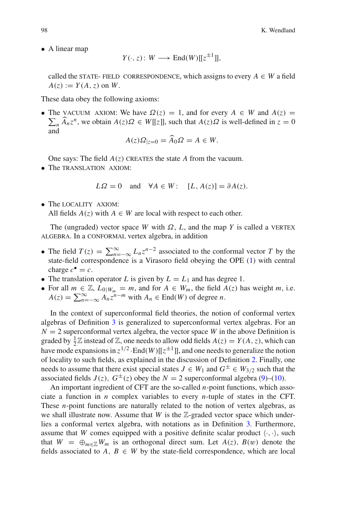• A linear map

 $Y(\cdot, z): W \longrightarrow \text{End}(W) [[z^{\pm 1}]]$ 

called the STATE- FIELD CORRESPONDENCE, which assigns to every  $A \in W$  a field  $A(z) := Y(A, z)$  on *W*.

These data obey the following axioms:

• The VACUUM AXIOM: We have  $\Omega(z) = 1$ , and for every  $A \in W$  and  $A(z) = \Omega(z)$  $\sum_{n} \widehat{A}_n z^n$ , we obtain  $A(z) \Omega \in W[[z]]$ , such that  $A(z) \Omega$  is well-defined in  $z = 0$ and

$$
A(z)\Omega_{|z=0} = A_0\Omega = A \in W.
$$

One says: The field  $A(z)$  CREATES the state A from the vacuum.

• The TRANSLATION AXIOM:

$$
L\Omega = 0
$$
 and  $\forall A \in W$ :  $[L, A(z)] = \partial A(z)$ .

• The LOCALITY AXIOM:

All fields  $A(z)$  with  $A \in W$  are local with respect to each other.

The (ungraded) vector space *W* with  $\Omega$ , *L*, and the map *Y* is called a VERTEX algebra. In a conformal vertex algebra, in addition

- The field  $T(z) = \sum_{n=-\infty}^{\infty} L_n z^{n-2}$  associated to the conformal vector *T* by the state-field correspondence is a Virasoro field obeying the OPE [\(1\)](#page-6-2) with central charge  $c^{\bullet} = c$ .
- The translation operator *L* is given by  $L = L_1$  and has degree 1.
- For all  $m \in \mathbb{Z}$ ,  $L_{0|W_m} = m$ , and for  $A \in W_m$ , the field  $A(z)$  has weight  $m$ , i.e.  $A(z) = \sum_{n=-\infty}^{\infty} A_n z^{n-m}$  with  $A_n \in \text{End}(W)$  of degree *n*.

In the context of superconformal field theories, the notion of conformal vertex algebras of Definition [3](#page-8-1) is generalized to superconformal vertex algebras. For an  $N = 2$  superconformal vertex algebra, the vector space *W* in the above Definition is graded by  $\frac{1}{2}\mathbb{Z}$  instead of  $\mathbb{Z}$ , one needs to allow odd fields  $A(z) = Y(A, z)$ , which can have mode expansions in  $z^{1/2}$  · End(*W*)[[ $z^{\pm 1}$ ]], and one needs to generalize the notion of locality to such fields, as explained in the discussion of Definition [2.](#page-4-0) Finally, one needs to assume that there exist special states  $J \in W_1$  and  $G^{\pm} \in W_{3/2}$  such that the associated fields  $J(z)$ ,  $G^{\pm}(z)$  obey the  $N = 2$  superconformal algebra [\(9\)](#page-8-2)–[\(10\)](#page-8-3).

An important ingredient of CFT are the so-called *n*-point functions, which associate a function in *n* complex variables to every *n*-tuple of states in the CFT. These *n*-point functions are naturally related to the notion of vertex algebras, as we shall illustrate now. Assume that  $W$  is the  $\mathbb{Z}$ -graded vector space which underlies a conformal vertex algebra, with notations as in Definition [3.](#page-8-1) Furthermore, assume that *W* comes equipped with a positive definite scalar product  $\langle \cdot, \cdot \rangle$ , such that  $W = \bigoplus_{m \in \mathbb{Z}} W_m$  is an orthogonal direct sum. Let  $A(z)$ ,  $B(w)$  denote the fields associated to  $A, B \in W$  by the state-field correspondence, which are local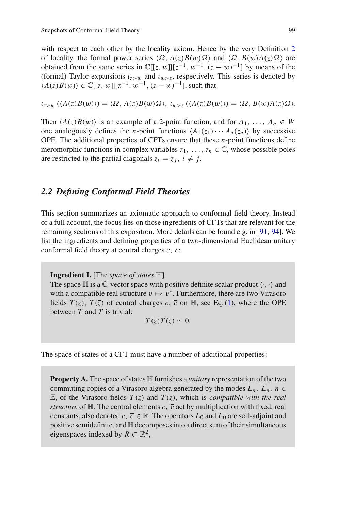with respect to each other by the locality axiom. Hence by the very Definition [2](#page-4-0) of locality, the formal power series  $\langle \Omega, A(z)B(w)\Omega \rangle$  and  $\langle \Omega, B(w)A(z)\Omega \rangle$  are obtained from the same series in  $\mathbb{C}[[z, w]][z^{-1}, w^{-1}, (z-w)^{-1}]$  by means of the (formal) Taylor expansions  $\iota_{z>w}$  and  $\iota_{w>z}$ , respectively. This series is denoted by  $\langle A(z)B(w) \rangle$  ∈ C[[*z*, w]][ $z^{-1}$ , w<sup>-1</sup>, (*z* − w)<sup>-1</sup>], such that

$$
\iota_{z>w} (\langle A(z)B(w)\rangle) = \langle \Omega, A(z)B(w)\Omega \rangle, \, \iota_{w>z} (\langle A(z)B(w)\rangle) = \langle \Omega, B(w)A(z)\Omega \rangle.
$$

Then  $\langle A(z)B(w) \rangle$  is an example of a 2-point function, and for  $A_1, \ldots, A_n \in W$ one analogously defines the *n*-point functions  $\langle A_1(z_1) \cdots A_n(z_n) \rangle$  by successive OPE. The additional properties of CFTs ensure that these *n*-point functions define meromorphic functions in complex variables  $z_1, \ldots, z_n \in \mathbb{C}$ , whose possible poles are restricted to the partial diagonals  $z_i = z_j$ ,  $i \neq j$ .

# <span id="page-10-0"></span>*2.2 Defining Conformal Field Theories*

This section summarizes an axiomatic approach to conformal field theory. Instead of a full account, the focus lies on those ingredients of CFTs that are relevant for the remaining sections of this exposition. More details can be found e.g. in [\[91,](#page-40-4) [94](#page-40-5)]. We list the ingredients and defining properties of a two-dimensional Euclidean unitary conformal field theory at central charges  $c$ ,  $\overline{c}$ :

**Ingredient I.** [The *space of states* H]

The space  $\mathbb H$  is a  $\mathbb C$ -vector space with positive definite scalar product  $\langle \cdot, \cdot \rangle$  and with a compatible real structure  $v \mapsto v^*$ . Furthermore, there are two Virasoro fields  $T(z)$ ,  $\overline{T}(\overline{z})$  of central charges *c*,  $\overline{c}$  on H, see Eq. [\(1\)](#page-6-2), where the OPE between *T* and  $\overline{T}$  is trivial:

$$
T(z)\overline{T}(\overline{z})\sim 0.
$$

The space of states of a CFT must have a number of additional properties:

**Property A.** The space of states  $\mathbb H$  furnishes a *unitary* representation of the two commuting copies of a Virasoro algebra generated by the modes  $L_n$ ,  $\overline{L}_n$ ,  $n \in$  $\mathbb{Z}$ , of the Virasoro fields  $T(z)$  and  $\overline{T}(\overline{z})$ , which is *compatible with the real structure* of  $\mathbb{H}$ . The central elements *c*,  $\overline{c}$  act by multiplication with fixed, real constants, also denoted *c*,  $\bar{c} \in \mathbb{R}$ . The operators  $L_0$  and  $L_0$  are self-adjoint and positive semidefinite, and  $H$  decomposes into a direct sum of their simultaneous eigenspaces indexed by  $R \subset \mathbb{R}^2$ ,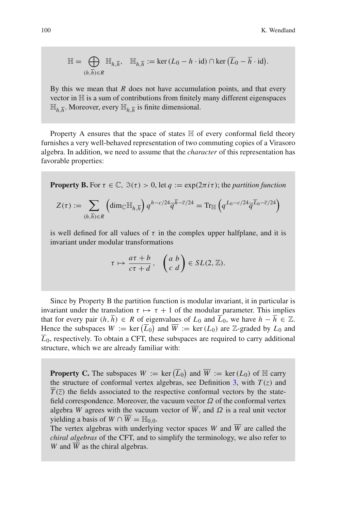$$
\mathbb{H} = \bigoplus_{(h,\overline{h}) \in R} \mathbb{H}_{h,\overline{h}}, \quad \mathbb{H}_{h,\overline{h}} := \ker (L_0 - h \cdot \mathrm{id}) \cap \ker (\overline{L}_0 - \overline{h} \cdot \mathrm{id}).
$$

By this we mean that *R* does not have accumulation points, and that every vector in  $\mathbb H$  is a sum of contributions from finitely many different eigenspaces  $\mathbb{H}_{h\bar{h}}$ . Moreover, every  $\mathbb{H}_{h\bar{h}}$  is finite dimensional.

Property A ensures that the space of states  $\mathbb H$  of every conformal field theory furnishes a very well-behaved representation of two commuting copies of a Virasoro algebra. In addition, we need to assume that the *character* of this representation has favorable properties:

**Property B.** For  $\tau \in \mathbb{C}$ ,  $\Im(\tau) > 0$ , let  $q := \exp(2\pi i \tau)$ ; the *partition function* 

$$
Z(\tau) := \sum_{(h,\overline{h}) \in R} \left( \dim_{\mathbb{C}} \mathbb{H}_{h,\overline{h}} \right) q^{h-c/24} \overline{q}^{\overline{h}-\overline{c}/24} = \mathrm{Tr}_{\mathbb{H}} \left( q^{L_0-c/24} \overline{q}^{\overline{L}_0-\overline{c}/24} \right)
$$

is well defined for all values of  $\tau$  in the complex upper halfplane, and it is invariant under modular transformations

$$
\tau \mapsto \frac{a\tau + b}{c\tau + d}, \quad \begin{pmatrix} a & b \\ c & d \end{pmatrix} \in SL(2, \mathbb{Z}).
$$

Since by Property B the partition function is modular invariant, it in particular is invariant under the translation  $\tau \mapsto \tau + 1$  of the modular parameter. This implies that for every pair  $(h, \overline{h}) \in R$  of eigenvalues of  $L_0$  and  $\overline{L}_0$ , we have  $h - \overline{h} \in \mathbb{Z}$ . Hence the subspaces  $W := \ker(\overline{L}_0)$  and  $\overline{W} := \ker(L_0)$  are  $\mathbb{Z}$ -graded by  $L_0$  and  $\overline{L}_0$ , respectively. To obtain a CFT, these subspaces are required to carry additional structure, which we are already familiar with:

**Property C.** The subspaces  $W := \ker(\overline{L}_0)$  and  $\overline{W} := \ker(L_0)$  of  $\mathbb{H}$  carry the structure of conformal vertex algebras, see Definition [3,](#page-8-1) with  $T(z)$  and  $\overline{T}(\overline{z})$  the fields associated to the respective conformal vectors by the statefield correspondence. Moreover, the vacuum vector  $\Omega$  of the conformal vertex algebra *W* agrees with the vacuum vector of  $\overline{W}$ , and  $\Omega$  is a real unit vector yielding a basis of  $W \cap \overline{W} = \mathbb{H}_{0,0}$ .

The vertex algebras with underlying vector spaces *W* and  $\overline{W}$  are called the *chiral algebras* of the CFT, and to simplify the terminology, we also refer to *W* and  $\overline{W}$  as the chiral algebras.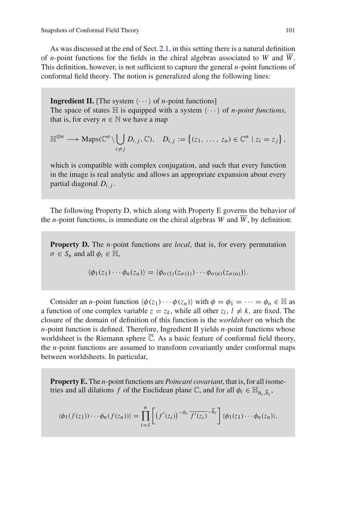As was discussed at the end of Sect. [2.1,](#page-3-0) in this setting there is a natural definition of *n*-point functions for the fields in the chiral algebras associated to *W* and  $\overline{W}$ . This definition, however, is not sufficient to capture the general *n*-point functions of conformal field theory. The notion is generalized along the following lines:

**Ingredient II.** [The system  $\langle \cdots \rangle$  of *n*-point functions] The space of states  $\mathbb H$  is equipped with a system  $\langle \cdots \rangle$  of *n-point functions*, that is, for every  $n \in \mathbb{N}$  we have a map

$$
\mathbb{H}^{\otimes n} \longrightarrow \mathrm{Maps}(\mathbb{C}^n \setminus \bigcup_{i \neq j} D_{i,j}, \mathbb{C}), \quad D_{i,j} := \{(z_1, \ldots, z_n) \in \mathbb{C}^n \mid z_i = z_j\},\
$$

which is compatible with complex conjugation, and such that every function in the image is real analytic and allows an appropriate expansion about every partial diagonal *Di*,*<sup>j</sup>* .

The following Property D, which along with Property E governs the behavior of the *n*-point functions, is immediate on the chiral algebras *W* and  $\overline{W}$ , by definition:

**Property D.** The *n*-point functions are *local*, that is, for every permutation  $\sigma \in S_n$  and all  $\phi_i \in \mathbb{H}$ ,

$$
\langle \phi_1(z_1)\cdots \phi_n(z_n)\rangle = \langle \phi_{\sigma(1)}(z_{\sigma(1)})\cdots \phi_{\sigma(n)}(z_{\sigma(n)})\rangle.
$$

Consider an *n*-point function  $\langle \phi(z_1) \cdots \phi(z_n) \rangle$  with  $\phi = \phi_1 = \cdots = \phi_n \in \mathbb{H}$  as a function of one complex variable  $z = z_k$ , while all other  $z_l$ ,  $l \neq k$ , are fixed. The closure of the domain of definition of this function is the *worldsheet* on which the *n*-point function is defined. Therefore, Ingredient II yields *n*-point functions whose worldsheet is the Riemann sphere  $\overline{\mathbb{C}}$ . As a basic feature of conformal field theory, the *n*-point functions are assumed to transform covariantly under conformal maps between worldsheets. In particular,

**Property E.**The *n*-point functions are*Poincaré covariant*, that is, for all isometries and all dilations *f* of the Euclidean plane  $\mathbb{C}$ , and for all  $\phi_i \in \mathbb{H}_{h_i, \overline{h}_i}$ ,

$$
\langle \phi_1(f(z_1))\cdots \phi_n(f(z_n))\rangle = \prod_{i=1}^n \left[ \left(f'(z_i)\right)^{-h_i} \overline{f'(z_i)}^{-h_i} \right] \langle \phi_1(z_1)\cdots \phi_n(z_n)\rangle,
$$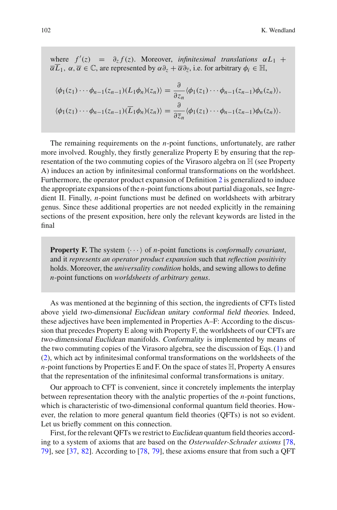where  $f'(z) = \partial_z f(z)$ . Moreover, *infinitesimal translations*  $\alpha L_1$  +  $\overline{\alpha} \overline{L}_1$ ,  $\alpha, \overline{\alpha} \in \mathbb{C}$ , are represented by  $\alpha \partial_z + \overline{\alpha} \partial_{\overline{z}}$ , i.e. for arbitrary  $\phi_i \in \mathbb{H}$ ,

$$
\langle \phi_1(z_1)\cdots\phi_{n-1}(z_{n-1})(L_1\phi_n)(z_n)\rangle = \frac{\partial}{\partial z_n} \langle \phi_1(z_1)\cdots\phi_{n-1}(z_{n-1})\phi_n(z_n)\rangle,
$$
  

$$
\langle \phi_1(z_1)\cdots\phi_{n-1}(z_{n-1})(\overline{L}_1\phi_n)(z_n)\rangle = \frac{\partial}{\partial \overline{z_n}} \langle \phi_1(z_1)\cdots\phi_{n-1}(z_{n-1})\phi_n(z_n)\rangle.
$$

The remaining requirements on the *n*-point functions, unfortunately, are rather more involved. Roughly, they firstly generalize Property E by ensuring that the representation of the two commuting copies of the Virasoro algebra on  $\mathbb H$  (see Property A) induces an action by infinitesimal conformal transformations on the worldsheet. Furthermore, the operator product expansion of Definition [2](#page-4-0) is generalized to induce the appropriate expansions of the *n*-point functions about partial diagonals, see Ingredient II. Finally, *n*-point functions must be defined on worldsheets with arbitrary genus. Since these additional properties are not needed explicitly in the remaining sections of the present exposition, here only the relevant keywords are listed in the final

**Property F.** The system  $\langle \cdots \rangle$  of *n*-point functions is *conformally covariant*, and it *represents an operator product expansion* such that *reflection positivity* holds. Moreover, the *universality condition* holds, and sewing allows to define *n*-point functions on *worldsheets of arbitrary genus*.

As was mentioned at the beginning of this section, the ingredients of CFTs listed above yield two-dimensional Euclidean unitary conformal field theories. Indeed, these adjectives have been implemented in Properties A–F: According to the discussion that precedes Property E along with Property F, the worldsheets of our CFTs are two-dimensional Euclidean manifolds. Conformality is implemented by means of the two commuting copies of the Virasoro algebra, see the discussion of Eqs. [\(1\)](#page-6-2) and [\(2\)](#page-6-0), which act by infinitesimal conformal transformations on the worldsheets of the *n*-point functions by Properties E and F. On the space of states  $\mathbb{H}$ , Property A ensures that the representation of the infinitesimal conformal transformations is unitary.

Our approach to CFT is convenient, since it concretely implements the interplay between representation theory with the analytic properties of the *n*-point functions, which is characteristic of two-dimensional conformal quantum field theories. However, the relation to more general quantum field theories (QFTs) is not so evident. Let us briefly comment on this connection.

First, for the relevant QFTs we restrict to Euclidean quantum field theories according to a system of axioms that are based on the *Osterwalder-Schrader axioms* [\[78,](#page-39-5) [79\]](#page-39-6), see [\[37](#page-38-6), [82](#page-40-6)]. According to [\[78,](#page-39-5) [79](#page-39-6)], these axioms ensure that from such a QFT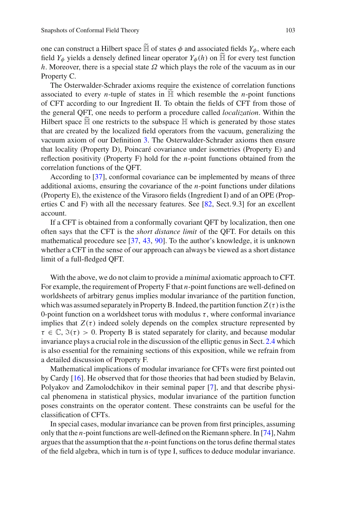one can construct a Hilbert space  $\widetilde{\mathbb{H}}$  of states  $\phi$  and associated fields  $Y_{\phi}$ , where each field  $Y_{\phi}$  yields a densely defined linear operator  $Y_{\phi}(h)$  on  $\tilde{\mathbb{H}}$  for every test function *h*. Moreover, there is a special state  $\Omega$  which plays the role of the vacuum as in our Property C.

The Osterwalder-Schrader axioms require the existence of correlation functions associated to every *n*-tuple of states in  $\overline{H}$  which resemble the *n*-point functions of CFT according to our Ingredient II. To obtain the fields of CFT from those of the general QFT, one needs to perform a procedure called *localization*. Within the Hilbert space  $\mathbb H$  one restricts to the subspace  $\mathbb H$  which is generated by those states that are created by the localized field operators from the vacuum, generalizing the vacuum axiom of our Definition [3.](#page-8-1) The Osterwalder-Schrader axioms then ensure that locality (Property D), Poincaré covariance under isometries (Property E) and reflection positivity (Property F) hold for the *n*-point functions obtained from the correlation functions of the QFT.

According to [\[37\]](#page-38-6), conformal covariance can be implemented by means of three additional axioms, ensuring the covariance of the *n*-point functions under dilations (Property E), the existence of the Virasoro fields (Ingredient I) and of an OPE (Properties C and F) with all the necessary features. See [\[82,](#page-40-6) Sect. 9.3] for an excellent account.

If a CFT is obtained from a conformally covariant QFT by localization, then one often says that the CFT is the *short distance limit* of the QFT. For details on this mathematical procedure see [\[37,](#page-38-6) [43](#page-38-7), [90](#page-40-7)]. To the author's knowledge, it is unknown whether a CFT in the sense of our approach can always be viewed as a short distance limit of a full-fledged QFT.

With the above, we do not claim to provide a minimal axiomatic approach to CFT. For example, the requirement of Property F that *n*-point functions are well-defined on worldsheets of arbitrary genus implies modular invariance of the partition function, which was assumed separately in Property B. Indeed, the partition function  $Z(\tau)$  is the 0-point function on a worldsheet torus with modulus  $\tau$ , where conformal invariance implies that  $Z(\tau)$  indeed solely depends on the complex structure represented by  $\tau \in \mathbb{C}, \Im(\tau) > 0$ . Property B is stated separately for clarity, and because modular invariance plays a crucial role in the discussion of the elliptic genus in Sect. [2.4](#page-18-0) which is also essential for the remaining sections of this exposition, while we refrain from a detailed discussion of Property F.

Mathematical implications of modular invariance for CFTs were first pointed out by Cardy [\[16\]](#page-37-5). He observed that for those theories that had been studied by Belavin, Polyakov and Zamolodchikov in their seminal paper [\[7\]](#page-37-0), and that describe physical phenomena in statistical physics, modular invariance of the partition function poses constraints on the operator content. These constraints can be useful for the classification of CFTs.

In special cases, modular invariance can be proven from first principles, assuming only that the *n*-point functions are well-defined on the Riemann sphere. In [\[74](#page-39-7)], Nahm argues that the assumption that the *n*-point functions on the torus define thermal states of the field algebra, which in turn is of type I, suffices to deduce modular invariance.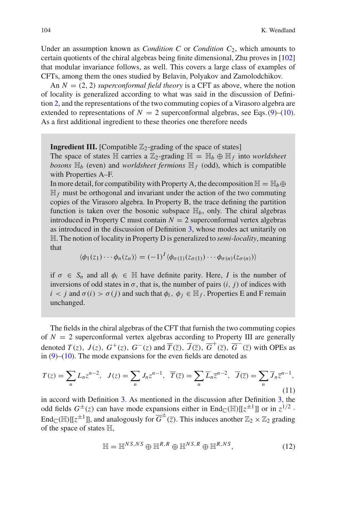Under an assumption known as *Condition C* or *Condition C*2, which amounts to certain quotients of the chiral algebras being finite dimensional, Zhu proves in [\[102\]](#page-40-8) that modular invariance follows, as well. This covers a large class of examples of CFTs, among them the ones studied by Belavin, Polyakov and Zamolodchikov.

An  $N = (2, 2)$  *superconformal field theory* is a CFT as above, where the notion of locality is generalized according to what was said in the discussion of Definition [2,](#page-4-0) and the representations of the two commuting copies of a Virasoro algebra are extended to representations of  $N = 2$  superconformal algebras, see Eqs. [\(9\)](#page-8-2)–[\(10\)](#page-8-3). As a first additional ingredient to these theories one therefore needs

**Ingredient III.** [Compatible  $\mathbb{Z}_2$ -grading of the space of states]

The space of states  $\mathbb{H}$  carries a  $\mathbb{Z}_2$ -grading  $\mathbb{H} = \mathbb{H}_b \oplus \mathbb{H}_f$  into *worldsheet bosons*  $\mathbb{H}_b$  (even) and *worldsheet fermions*  $\mathbb{H}_f$  (odd), which is compatible with Properties A–F.

In more detail, for compatibility with Property A, the decomposition  $\mathbb{H} = \mathbb{H}_b \oplus$  $\mathbb{H}_f$  must be orthogonal and invariant under the action of the two commuting copies of the Virasoro algebra. In Property B, the trace defining the partition function is taken over the bosonic subspace  $\mathbb{H}_b$ , only. The chiral algebras introduced in Property C must contain  $N = 2$  superconformal vertex algebras as introduced in the discussion of Definition [3,](#page-8-1) whose modes act unitarily on H. The notion of locality in Property D is generalized to *semi-locality*, meaning that

$$
\langle \phi_1(z_1)\cdots \phi_n(z_n)\rangle = (-1)^I \langle \phi_{\sigma(1)}(z_{\sigma(1)})\cdots \phi_{\sigma(n)}(z_{\sigma(n)})\rangle
$$

if  $\sigma \in S_n$  and all  $\phi_i \in \mathbb{H}$  have definite parity. Here, *I* is the number of inversions of odd states in  $\sigma$ , that is, the number of pairs  $(i, j)$  of indices with  $i < j$  and  $\sigma(i) > \sigma(j)$  and such that  $\phi_i$ ,  $\phi_j \in \mathbb{H}_f$ . Properties E and F remain unchanged.

The fields in the chiral algebras of the CFT that furnish the two commuting copies of  $N = 2$  superconformal vertex algebras according to Property III are generally denoted  $T(z)$ ,  $J(z)$ ,  $G^+(z)$ ,  $G^-(z)$  and  $\overline{T}(\overline{z})$ ,  $\overline{J}(\overline{z})$ ,  $\overline{G}^+(\overline{z})$ ,  $\overline{G}^-(\overline{z})$  with OPEs as in  $(9)$ – $(10)$ . The mode expansions for the even fields are denoted as

<span id="page-15-1"></span>
$$
T(z) = \sum_{n} L_n z^{n-2}, \quad J(z) = \sum_{n} J_n z^{n-1}, \quad \overline{T}(\overline{z}) = \sum_{n} \overline{L}_n \overline{z}^{n-2}, \quad \overline{J}(\overline{z}) = \sum_{n} \overline{J}_n \overline{z}^{n-1}, \tag{11}
$$

<span id="page-15-0"></span>in accord with Definition [3.](#page-8-1) As mentioned in the discussion after Definition [3,](#page-8-1) the odd fields  $G^{\pm}(z)$  can have mode expansions either in End<sub>C</sub>(H)[[ $z^{\pm 1}$ ]] or in  $z^{1/2}$ . End<sub>C</sub>(H)[[ $z^{\pm 1}$ ]], and analogously for  $\overline{G}^{\pm}(\overline{z})$ . This induces another  $\mathbb{Z}_2 \times \mathbb{Z}_2$  grading of the space of states H,

$$
\mathbb{H} = \mathbb{H}^{NS,NS} \oplus \mathbb{H}^{R,R} \oplus \mathbb{H}^{NS,R} \oplus \mathbb{H}^{R,NS}, \tag{12}
$$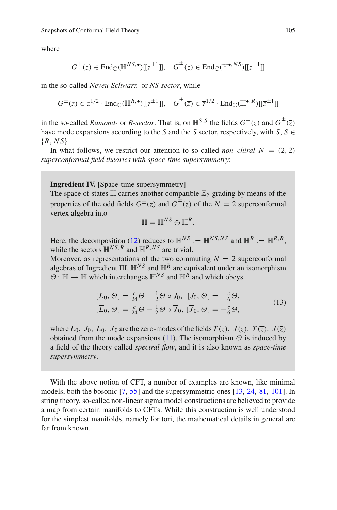where

$$
G^{\pm}(z) \in \text{End}_{\mathbb{C}}(\mathbb{H}^{NS,\bullet})[[z^{\pm 1}]], \quad \overline{G}^{\pm}(\overline{z}) \in \text{End}_{\mathbb{C}}(\mathbb{H}^{\bullet, NS})[[\overline{z}^{\pm 1}]]
$$

in the so-called *Neveu-Schwarz-* or *NS-sector*, while

$$
G^{\pm}(z) \in z^{1/2} \cdot \text{End}_{\mathbb{C}}(\mathbb{H}^{R,\bullet})[[z^{\pm 1}]], \quad \overline{G}^{\pm}(\overline{z}) \in \overline{z}^{1/2} \cdot \text{End}_{\mathbb{C}}(\mathbb{H}^{\bullet,R})[[\overline{z}^{\pm 1}]]
$$

in the so-called *Ramond*- or *R-sector*. That is, on  $\mathbb{H}^{S,\overline{S}}$  the fields  $G^{\pm}(z)$  and  $\overline{G}^{\pm}(\overline{z})$ have mode expansions according to the *S* and the  $\overline{S}$  sector, respectively, with  $S, \overline{S} \in$ {*R*, *N S*}.

In what follows, we restrict our attention to so-called *non–chiral*  $N = (2, 2)$ *superconformal field theories with space-time supersymmetry*:

**Ingredient IV.** [Space-time supersymmetry]

The space of states  $\mathbb H$  carries another compatible  $\mathbb Z_2$ -grading by means of the properties of the odd fields  $G^{\pm}(z)$  and  $\overline{G}^{\pm}(\overline{z})$  of the  $N=2$  superconformal vertex algebra into

$$
\mathbb{H}=\mathbb{H}^{NS}\oplus\mathbb{H}^R.
$$

Here, the decomposition [\(12\)](#page-15-0) reduces to  $\mathbb{H}^{NS} := \mathbb{H}^{NS,NS}$  and  $\mathbb{H}^{R} := \mathbb{H}^{R,R}$ . while the sectors  $\mathbb{H}^{NS,R}$  and  $\mathbb{H}^{R,NS}$  are trivial.

<span id="page-16-0"></span>Moreover, as representations of the two commuting  $N = 2$  superconformal algebras of Ingredient III,  $\mathbb{H}^{NS}$  and  $\mathbb{H}^{R}$  are equivalent under an isomorphism  $\Theta$ :  $\mathbb{H} \to \mathbb{H}$  which interchanges  $\mathbb{H}^{NS}$  and  $\mathbb{H}^{R}$  and which obeys

$$
[L_0, \Theta] = \frac{c}{24}\Theta - \frac{1}{2}\Theta \circ J_0, [J_0, \Theta] = -\frac{c}{6}\Theta,
$$
  
\n
$$
[\overline{L}_0, \Theta] = \frac{\overline{c}}{24}\Theta - \frac{1}{2}\Theta \circ \overline{J}_0, [\overline{J}_0, \Theta] = -\frac{\overline{c}}{6}\Theta,
$$
\n(13)

where  $L_0$ ,  $J_0$ ,  $\overline{L}_0$ ,  $\overline{J}_0$  are the zero-modes of the fields  $T(z)$ ,  $J(z)$ ,  $\overline{T}(\overline{z})$ ,  $\overline{J}(\overline{z})$ obtained from the mode expansions [\(11\)](#page-15-1). The isomorphism  $\Theta$  is induced by a field of the theory called *spectral flow*, and it is also known as *space-time supersymmetry*.

With the above notion of CFT, a number of examples are known, like minimal models, both the bosonic [\[7,](#page-37-0) [55](#page-39-8)] and the supersymmetric ones [\[13,](#page-37-6) [24](#page-37-7), [81](#page-40-9), [101\]](#page-40-10). In string theory, so-called non-linear sigma model constructions are believed to provide a map from certain manifolds to CFTs. While this construction is well understood for the simplest manifolds, namely for tori, the mathematical details in general are far from known.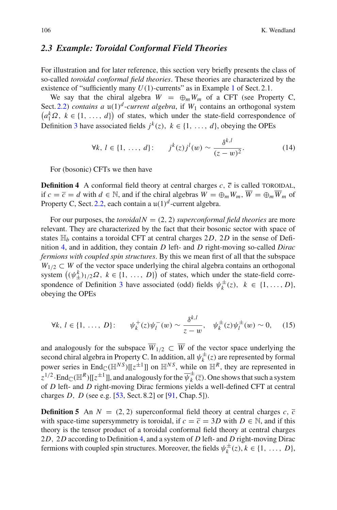### <span id="page-17-0"></span>*2.3 Example: Toroidal Conformal Field Theories*

For illustration and for later reference, this section very briefly presents the class of so-called *toroidal conformal field theories*. These theories are characterized by the existence of "sufficiently many  $U(1)$  $U(1)$  $U(1)$ -currents" as in Example 1 of Sect. 2.1.

We say that the chiral algebra  $W = \bigoplus_m W_m$  of a CFT (see Property C, Sect. [2.2\)](#page-10-0) *contains a*  $\mu(1)^d$ -*current algebra*, if  $W_1$  contains an orthogonal system  $(a_1^k \Omega, k \in \{1, ..., d\})$  of states, which under the state-field correspondence of Definition [3](#page-8-1) have associated fields  $j^k(z)$ ,  $k \in \{1, ..., d\}$ , obeying the OPEs

$$
\forall k, l \in \{1, ..., d\}: \qquad j^{k}(z)j^{l}(w) \sim \frac{\delta^{k,l}}{(z-w)^{2}}.
$$
 (14)

<span id="page-17-3"></span>For (bosonic) CFTs we then have

<span id="page-17-1"></span>**Definition 4** A conformal field theory at central charges  $c$ ,  $\bar{c}$  is called TOROIDAL, if  $c = \overline{c} = d$  with  $d \in \mathbb{N}$ , and if the chiral algebras  $W = \bigoplus_m W_m$ ,  $\overline{W} = \bigoplus_m \overline{W}_m$  of Property C, Sect. [2.2,](#page-10-0) each contain a  $\mu(1)^d$ -current algebra.

For our purposes, the *toroidal N* =  $(2, 2)$  *superconformal field theories* are more relevant. They are characterized by the fact that their bosonic sector with space of states  $\mathbb{H}_b$  contains a toroidal CFT at central charges 2*D*, 2*D* in the sense of Definition [4,](#page-17-1) and in addition, they contain *D* left- and *D* right-moving so-called *Dirac fermions with coupled spin structures*. By this we mean first of all that the subspace  $W_{1/2} \subset W$  of the vector space underlying the chiral algebra contains an orthogonal system  $((\psi_{\pm}^k)_{1/2}\Omega, k \in \{1, ..., D\})$  of states, which under the state-field corre-spondence of Definition [3](#page-8-1) have associated (odd) fields  $\psi_k^{\pm}(z)$ ,  $k \in \{1, ..., D\}$ , obeying the OPEs

$$
\forall k, l \in \{1, ..., D\}: \qquad \psi_k^+(z)\psi_l^-(w) \sim \frac{\delta^{k,l}}{z-w}, \quad \psi_k^\pm(z)\psi_l^\pm(w) \sim 0,\tag{15}
$$

<span id="page-17-2"></span>and analogously for the subspace  $\overline{W}_{1/2} \subset \overline{W}$  of the vector space underlying the second chiral algebra in Property C. In addition, all  $\psi_k^{\pm}(z)$  are represented by formal power series in End<sub>C</sub>( $\mathbb{H}^{NS}$ )[[ $z^{\pm 1}$ ]] on  $\mathbb{H}^{NS}$ , while on  $\mathbb{H}^{R}$ , they are represented in  $z^{1/2}$  · End<sub>C</sub>( $\mathbb{H}^R$ )[[ $z^{\pm 1}$ ]], and analogously for the  $\overline{\psi}_k^{\pm}(\overline{z})$ . One shows that such a system of *D* left- and *D* right-moving Dirac fermions yields a well-defined CFT at central charges *D*, *D* (see e.g. [\[53,](#page-39-9) Sect. 8.2] or [\[91](#page-40-4), Chap. 5]).

<span id="page-17-4"></span>**Definition 5** An  $N = (2, 2)$  superconformal field theory at central charges *c*,  $\overline{c}$ with space-time supersymmetry is toroidal, if  $c = \overline{c} = 3D$  with  $D \in \mathbb{N}$ , and if this theory is the tensor product of a toroidal conformal field theory at central charges 2*D*, 2*D* according to Definition [4,](#page-17-1) and a system of *D* left- and *D* right-moving Dirac fermions with coupled spin structures. Moreover, the fields  $\psi_k^{\pm}(z)$ ,  $k \in \{1, ..., D\}$ ,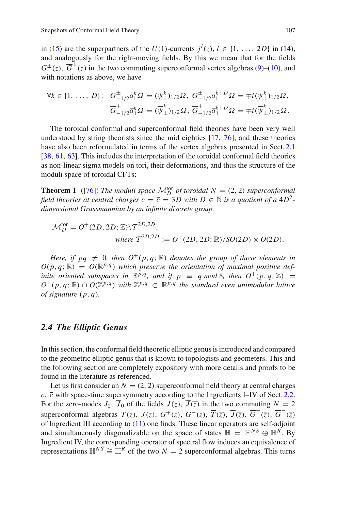in [\(15\)](#page-17-2) are the superpartners of the  $U(1)$ -currents  $j^l(z)$ ,  $l \in \{1, ..., 2D\}$  in [\(14\)](#page-17-3), and analogously for the right-moving fields. By this we mean that for the fields  $G^{\pm}(z)$ ,  $\overline{G}^{\pm}(\overline{z})$  in the two commuting superconformal vertex algebras [\(9\)](#page-8-2)–[\(10\)](#page-8-3), and with notations as above, we have

$$
\forall k \in \{1, ..., D\}: \quad G_{-1/2}^{\pm} a_1^k \Omega = (\psi_{\pm}^k)_{1/2} \Omega, \quad G_{-1/2}^{\pm} a_1^{k+D} \Omega = \mp i (\psi_{\pm}^k)_{1/2} \Omega, \overline{G}_{-1/2}^{\pm} \overline{a}_1^k \Omega = (\overline{\psi}_{\pm}^k)_{1/2} \Omega, \quad \overline{G}_{-1/2}^{\pm} \overline{a}_1^{k+D} \Omega = \mp i (\overline{\psi}_{\pm}^k)_{1/2} \Omega.
$$

The toroidal conformal and superconformal field theories have been very well understood by string theorists since the mid eighties [\[17](#page-37-8), [76](#page-39-10)], and these theories have also been reformulated in terms of the vertex algebras presented in Sect. [2.1](#page-3-0) [\[38,](#page-38-3) [61](#page-39-3), [63\]](#page-39-11). This includes the interpretation of the toroidal conformal field theories as non-linear sigma models on tori, their deformations, and thus the structure of the moduli space of toroidal CFTs:

<span id="page-18-1"></span>**Theorem 1** ([\[76](#page-39-10)]) *The moduli space*  $M_D^{\text{tor}}$  *of toroidal*  $N = (2, 2)$  *superconformal field theories at central charges*  $c = \overline{c} = 3D$  *with*  $D \in \mathbb{N}$  *is a quotient of a 4* $D^2$ *dimensional Grassmannian by an infinite discrete group,*

$$
\mathcal{M}_D^{\text{tor}} = O^+(2D, 2D; \mathbb{Z}) \setminus T^{2D, 2D},
$$
  
where  $T^{2D, 2D} := O^+(2D, 2D; \mathbb{R})/SO(2D) \times O(2D).$ 

*Here, if pq*  $\neq$  *0, then O<sup>+</sup>(<i>p, q;* R) *denotes the group of those elements in*  $O(p, q; \mathbb{R}) = O(\mathbb{R}^{p,q})$  which preserve the orientation of maximal positive def*inite oriented subspaces in*  $\mathbb{R}^{p,q}$ *, and if*  $p \equiv q \mod 8$ *, then*  $O^+(p,q;\mathbb{Z}) =$ *O*<sup>+</sup>(*p*, *q*; ℝ) ∩ *O*( $\mathbb{Z}^{p,q}$ ) *with*  $\mathbb{Z}^{p,q}$  ⊂ ℝ<sup>*p*,*q*</sup> *the standard even unimodular lattice of signature* (*p*, *q*)*.*

### <span id="page-18-0"></span>*2.4 The Elliptic Genus*

In this section, the conformal field theoretic elliptic genus is introduced and compared to the geometric elliptic genus that is known to topologists and geometers. This and the following section are completely expository with more details and proofs to be found in the literature as referenced.

Let us first consider an  $N = (2, 2)$  superconformal field theory at central charges  $c$ ,  $\bar{c}$  with space-time supersymmetry according to the Ingredients I–IV of Sect. [2.2.](#page-10-0) For the zero-modes  $J_0$ ,  $\overline{J}_0$  of the fields  $J(z)$ ,  $\overline{J}(\overline{z})$  in the two commuting  $N = 2$ superconformal algebras  $T(z)$ ,  $J(z)$ ,  $G^+(z)$ ,  $G^-(z)$ ,  $\overline{T}(\overline{z})$ ,  $\overline{J}(\overline{z})$ ,  $\overline{G}^+(\overline{z})$ ,  $\overline{G}^-(\overline{z})$ of Ingredient III according to [\(11\)](#page-15-1) one finds: These linear operators are self-adjoint and simultaneously diagonalizable on the space of states  $\mathbb{H} = \mathbb{H}^{NS} \oplus \mathbb{H}^R$ . By Ingredient IV, the corresponding operator of spectral flow induces an equivalence of representations  $\mathbb{H}^{NS} \cong \mathbb{H}^R$  of the two  $N = 2$  superconformal algebras. This turns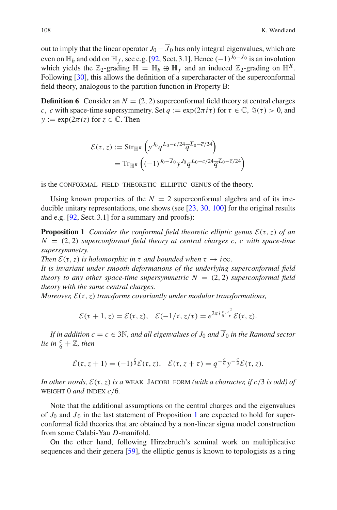out to imply that the linear operator  $J_0 - \overline{J}_0$  has only integral eigenvalues, which are even on  $\mathbb{H}_b$  and odd on  $\mathbb{H}_f$ , see e.g. [\[92](#page-40-2), Sect. 3.1]. Hence  $(-1)^{J_0 - \overline{J}_0}$  is an involution which yields the  $\mathbb{Z}_2$ -grading  $\mathbb{H} = \mathbb{H}_b \oplus \mathbb{H}_f$  and an induced  $\mathbb{Z}_2$ -grading on  $\mathbb{H}^R$ . Following [\[30\]](#page-38-8), this allows the definition of a supercharacter of the superconformal field theory, analogous to the partition function in Property B:

<span id="page-19-1"></span>**Definition 6** Consider an  $N = (2, 2)$  superconformal field theory at central charges *c*,  $\overline{c}$  with space-time supersymmetry. Set  $q := \exp(2\pi i \tau)$  for  $\tau \in \mathbb{C}$ ,  $\Im(\tau) > 0$ , and  $y := \exp(2\pi i z)$  for  $z \in \mathbb{C}$ . Then

$$
\mathcal{E}(\tau, z) := \text{Str}_{\mathbb{H}^R} \left( y^{J_0} q^{L_0 - c/24} \overline{q}^{\overline{L}_0 - \overline{c}/24} \right)
$$
  
= 
$$
\text{Tr}_{\mathbb{H}^R} \left( (-1)^{J_0 - \overline{J}_0} y^{J_0} q^{L_0 - c/24} \overline{q}^{\overline{L}_0 - \overline{c}/24} \right)
$$

is the conformal field theoretic elliptic genus of the theory.

Using known properties of the  $N = 2$  superconformal algebra and of its irreducible unitary representations, one shows (see [\[23,](#page-37-9) [30](#page-38-8), [100\]](#page-40-11) for the original results and e.g. [\[92,](#page-40-2) Sect. 3.1] for a summary and proofs):

<span id="page-19-0"></span>**Proposition 1** *Consider the conformal field theoretic elliptic genus*  $\mathcal{E}(\tau, z)$  *of an*  $N = (2, 2)$  *superconformal field theory at central charges c,*  $\overline{c}$  *with space-time supersymmetry.*

*Then*  $\mathcal{E}(\tau, z)$  *is holomorphic in*  $\tau$  *and bounded when*  $\tau \to i\infty$ *.* 

*It is invariant under smooth deformations of the underlying superconformal field theory to any other space-time supersymmetric*  $N = (2, 2)$  *superconformal field theory with the same central charges.*

*Moreover,*  $\mathcal{E}(\tau, z)$  *transforms covariantly under modular transformations,* 

$$
\mathcal{E}(\tau+1,z)=\mathcal{E}(\tau,z),\quad \mathcal{E}(-1/\tau,z/\tau)=e^{2\pi i\frac{c}{6}\cdot\frac{z^2}{\tau}}\mathcal{E}(\tau,z).
$$

*If in addition*  $c = \overline{c} \in 3\mathbb{N}$ , and all eigenvalues of  $J_0$  and  $\overline{J}_0$  *in the Ramond sector lie* in  $\frac{c}{6} + \mathbb{Z}$ *, then* 

$$
\mathcal{E}(\tau, z+1) = (-1)^{\frac{c}{3}} \mathcal{E}(\tau, z), \quad \mathcal{E}(\tau, z+\tau) = q^{-\frac{c}{6}} y^{-\frac{c}{3}} \mathcal{E}(\tau, z).
$$

*In other words,*  $\mathcal{E}(\tau, z)$  *is a* WEAK JACOBI FORM *(with a character, if c/3 is odd) of* weight 0 *and* index *c*/6*.*

Note that the additional assumptions on the central charges and the eigenvalues of  $J_0$  and  $\overline{J}_0$  in the last statement of Proposition [1](#page-19-0) are expected to hold for superconformal field theories that are obtained by a non-linear sigma model construction from some Calabi-Yau *D*-manifold.

On the other hand, following Hirzebruch's seminal work on multiplicative sequences and their genera [\[59\]](#page-39-12), the elliptic genus is known to topologists as a ring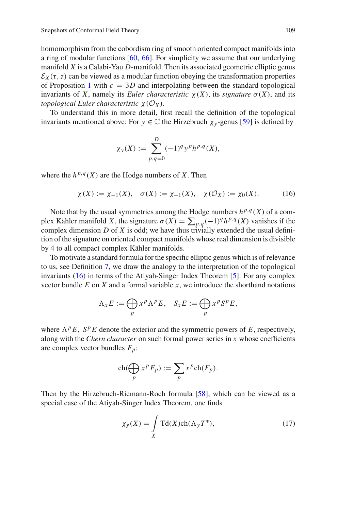homomorphism from the cobordism ring of smooth oriented compact manifolds into a ring of modular functions [\[60](#page-39-13), [66](#page-39-14)]. For simplicity we assume that our underlying manifold *X* is a Calabi-Yau *D*-manifold. Then its associated geometric elliptic genus  $\mathcal{E}_X(\tau, z)$  can be viewed as a modular function obeying the transformation properties of Proposition [1](#page-19-0) with  $c = 3D$  and interpolating between the standard topological invariants of *X*, namely its *Euler characteristic*  $\chi(X)$ , its *signature*  $\sigma(X)$ , and its *topological Euler characteristic*  $\chi(\mathcal{O}_X)$ .

To understand this in more detail, first recall the definition of the topological invariants mentioned above: For  $y \in \mathbb{C}$  the Hirzebruch  $\chi_y$ -genus [\[59](#page-39-12)] is defined by

$$
\chi_y(X) := \sum_{p,q=0}^D (-1)^q y^p h^{p,q}(X),
$$

<span id="page-20-0"></span>where the  $h^{p,q}(X)$  are the Hodge numbers of *X*. Then

$$
\chi(X) := \chi_{-1}(X), \quad \sigma(X) := \chi_{+1}(X), \quad \chi(\mathcal{O}_X) := \chi_0(X).
$$
 (16)

Note that by the usual symmetries among the Hodge numbers  $h^{p,q}(X)$  of a complex Kähler manifold *X*, the signature  $\sigma(X) = \sum_{p,q} (-1)^q h^{p,q}(X)$  vanishes if the complex dimension *D* of *X* is odd; we have thus trivially extended the usual definition of the signature on oriented compact manifolds whose real dimension is divisible by 4 to all compact complex Kähler manifolds.

To motivate a standard formula for the specific elliptic genus which is of relevance to us, see Definition [7,](#page-21-0) we draw the analogy to the interpretation of the topological invariants [\(16\)](#page-20-0) in terms of the Atiyah-Singer Index Theorem [\[5\]](#page-37-10). For any complex vector bundle *E* on *X* and a formal variable *x*, we introduce the shorthand notations

$$
\Lambda_x E := \bigoplus_p x^p \Lambda^p E, \quad S_x E := \bigoplus_p x^p S^p E,
$$

where  $\Lambda^p E$ ,  $S^p E$  denote the exterior and the symmetric powers of *E*, respectively, along with the *Chern character* on such formal power series in *x* whose coefficients are complex vector bundles  $F_p$ :

$$
ch(\bigoplus_{p} x^{p} F_{p}) := \sum_{p} x^{p} ch(F_{p}).
$$

<span id="page-20-1"></span>Then by the Hirzebruch-Riemann-Roch formula [\[58](#page-39-15)], which can be viewed as a special case of the Atiyah-Singer Index Theorem, one finds

$$
\chi_{y}(X) = \int\limits_{X} \text{Td}(X) \text{ch}(\Lambda_{y} T^{*}), \tag{17}
$$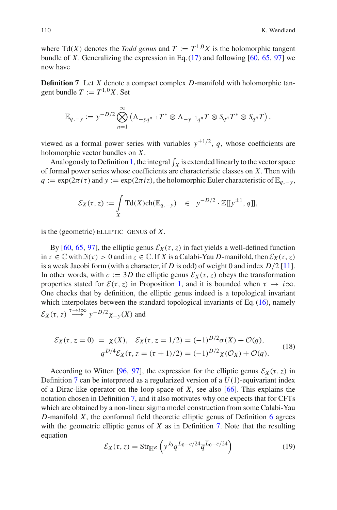where  $Td(X)$  denotes the *Todd genus* and  $T := T^{1,0}X$  is the holomorphic tangent bundle of *X*. Generalizing the expression in Eq.  $(17)$  and following [\[60](#page-39-13), [65,](#page-39-16) [97\]](#page-40-12) we now have

<span id="page-21-0"></span>**Definition 7** Let *X* denote a compact complex *D*-manifold with holomorphic tangent bundle  $T := T^{1,0}X$ . Set

$$
\mathbb{E}_{q,-y} := y^{-D/2} \bigotimes_{n=1}^{\infty} \left( \Lambda_{-yq^{n-1}} T^* \otimes \Lambda_{-y^{-1}q^n} T \otimes S_{q^n} T^* \otimes S_{q^n} T \right),
$$

viewed as a formal power series with variables  $y^{\pm 1/2}$ , *q*, whose coefficients are holomorphic vector bundles on *X*.

Analogously to Definition [1,](#page-3-1) the integral  $\int_X$  is extended linearly to the vector space of formal power series whose coefficients are characteristic classes on *X*. Then with  $q := \exp(2\pi i \tau)$  and  $y := \exp(2\pi i \tau)$ , the holomorphic Euler characteristic of  $\mathbb{E}_{q,-\nu}$ ,

$$
\mathcal{E}_X(\tau, z) := \int\limits_X \mathrm{Td}(X) \mathrm{ch}(\mathbb{E}_{q, -y}) \quad \in \quad y^{-D/2} \cdot \mathbb{Z}[[y^{\pm 1}, q]],
$$

is the (geometric) elliptic genus of *X*.

By [\[60,](#page-39-13) [65,](#page-39-16) [97](#page-40-12)], the elliptic genus  $\mathcal{E}_X(\tau, z)$  in fact yields a well-defined function in  $\tau \in \mathbb{C}$  with  $\Im(\tau) > 0$  and in  $z \in \mathbb{C}$ . If *X* is a Calabi-Yau *D*-manifold, then  $\mathcal{E}_X(\tau, z)$ is a weak Jacobi form (with a character, if *D* is odd) of weight 0 and index  $D/2$  [\[11](#page-37-11)]. In other words, with  $c := 3D$  the elliptic genus  $\mathcal{E}_X(\tau, z)$  obeys the transformation properties stated for  $\mathcal{E}(\tau, z)$  in Proposition [1,](#page-19-0) and it is bounded when  $\tau \to i\infty$ . One checks that by definition, the elliptic genus indeed is a topological invariant which interpolates between the standard topological invariants of Eq. [\(16\)](#page-20-0), namely  $\mathcal{E}_X(\tau, z) \stackrel{\tau \to i\infty}{\longrightarrow} y^{-D/2} \chi_{-y}(X)$  and

$$
\mathcal{E}_X(\tau, z = 0) = \chi(X), \quad \mathcal{E}_X(\tau, z = 1/2) = (-1)^{D/2} \sigma(X) + \mathcal{O}(q),
$$
  
 
$$
q^{D/4} \mathcal{E}_X(\tau, z = (\tau + 1)/2) = (-1)^{D/2} \chi(\mathcal{O}_X) + \mathcal{O}(q).
$$
 (18)

<span id="page-21-2"></span>According to Witten [\[96](#page-40-13), [97\]](#page-40-12), the expression for the elliptic genus  $\mathcal{E}_X(\tau, z)$  in Definition [7](#page-21-0) can be interpreted as a regularized version of a *U*(1)-equivariant index of a Dirac-like operator on the loop space of *X*, see also [\[66\]](#page-39-14). This explains the notation chosen in Definition [7,](#page-21-0) and it also motivates why one expects that for CFTs which are obtained by a non-linear sigma model construction from some Calabi-Yau *D*-manifold *X*, the conformal field theoretic elliptic genus of Definition [6](#page-19-1) agrees with the geometric elliptic genus of *X* as in Definition [7.](#page-21-0) Note that the resulting equation

<span id="page-21-1"></span>
$$
\mathcal{E}_X(\tau, z) = \text{Str}_{\mathbb{H}^R} \left( y^{J_0} q^{L_0 - c/24} \overline{q}^{\overline{L}_0 - \overline{c}/24} \right)
$$
(19)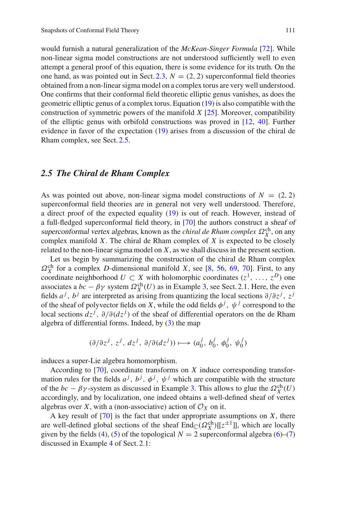would furnish a natural generalization of the *McKean-Singer Formula* [\[72](#page-39-17)]. While non-linear sigma model constructions are not understood sufficiently well to even attempt a general proof of this equation, there is some evidence for its truth. On the one hand, as was pointed out in Sect. [2.3,](#page-17-0)  $N = (2, 2)$  superconformal field theories obtained from a non-linear sigma model on a complex torus are very well understood. One confirms that their conformal field theoretic elliptic genus vanishes, as does the geometric elliptic genus of a complex torus. Equation [\(19\)](#page-21-1) is also compatible with the construction of symmetric powers of the manifold *X* [\[25](#page-37-12)]. Moreover, compatibility of the elliptic genus with orbifold constructions was proved in [\[12](#page-37-13), [40](#page-38-9)]. Further evidence in favor of the expectation [\(19\)](#page-21-1) arises from a discussion of the chiral de Rham complex, see Sect. [2.5.](#page-22-0)

#### <span id="page-22-0"></span>*2.5 The Chiral de Rham Complex*

As was pointed out above, non-linear sigma model constructions of  $N = (2, 2)$ superconformal field theories are in general not very well understood. Therefore, a direct proof of the expected equality [\(19\)](#page-21-1) is out of reach. However, instead of a full-fledged superconformal field theory, in [\[70\]](#page-39-18) the authors construct a sheaf of superconformal vertex algebras, known as the *chiral de Rham complex*  $\Omega_X^{\text{ch}}$ , on any complex manifold *X*. The chiral de Rham complex of *X* is expected to be closely related to the non-linear sigma model on *X*, as we shall discuss in the present section.

Let us begin by summarizing the construction of the chiral de Rham complex  $\Omega_X^{\text{ch}}$  for a complex *D*-dimensional manifold *X*, see [\[8](#page-37-14), [56,](#page-39-19) [69,](#page-39-20) [70](#page-39-18)]. First, to any coordinate neighborhood  $U \subset X$  with holomorphic coordinates  $(z^1, \ldots, z^D)$  one associates a  $bc - \beta \gamma$  system  $\Omega_X^{\text{ch}}(U)$  as in Example [3,](#page-6-3) see Sect. 2.1. Here, the even fields  $a^j$ ,  $b^j$  are interpreted as arising from quantizing the local sections  $\partial/\partial z^j$ ,  $z^j$ of the sheaf of polyvector fields on *X*, while the odd fields  $\phi^j$ ,  $\psi^j$  correspond to the local sections *dz<sup>j</sup>* , ∂/∂(*dz<sup>j</sup>* ) of the sheaf of differential operators on the de Rham algebra of differential forms. Indeed, by [\(3\)](#page-6-4) the map

$$
(\partial/\partial z^j, z^j, dz^j, \partial/\partial (dz^j)) \longmapsto (a_0^j, b_0^j, \phi_0^j, \psi_0^j)
$$

induces a super-Lie algebra homomorphism.

According to [\[70](#page-39-18)], coordinate transforms on *X* induce corresponding transformation rules for the fields  $a^j$ ,  $b^j$ ,  $\phi^j$ ,  $\psi^j$  which are compatible with the structure of the  $bc - \beta \gamma$ -system as discussed in Example [3.](#page-6-3) This allows to glue the  $\Omega_X^{\text{ch}}(U)$ accordingly, and by localization, one indeed obtains a well-defined sheaf of vertex algebras over *X*, with a (non-associative) action of  $\mathcal{O}_X$  on it.

<span id="page-22-1"></span>A key result of [\[70](#page-39-18)] is the fact that under appropriate assumptions on *X*, there are well-defined global sections of the sheaf  $\text{End}_{\mathbb{C}}(\Omega_X^{\text{ch}})[[z^{\pm 1}]]$ , which are locally given by the fields [\(4\)](#page-7-2), [\(5\)](#page-7-3) of the topological  $N = 2$  superconformal algebra [\(6\)](#page-7-0)–[\(7\)](#page-7-1) discussed in Example [4](#page-7-4) of Sect. 2.1: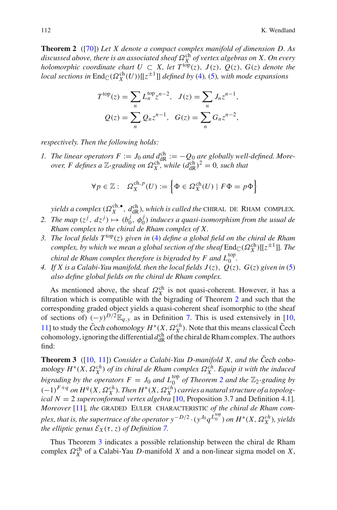**Theorem 2** ([\[70](#page-39-18)]) *Let X denote a compact complex manifold of dimension D. As* discussed above, there is an associated sheaf Ω<sup>ch</sup> of vertex algebras on X. On every *holomorphic coordinate chart*  $U \subset X$ *, let*  $T^{t\hat{op}}(z)$ *,*  $J(z)$ *,*  $Q(z)$ *,*  $G(z)$  *denote the local sections in*  $\text{End}_{\mathbb{C}}(\Omega_X^{\text{ch}}(U))[[z^{\pm 1}]]$  *defined by* [\(4\)](#page-7-2), [\(5\)](#page-7-3)*, with mode expansions* 

$$
T^{\text{top}}(z) = \sum_{n} L^{\text{top}}_{n} z^{n-2}, \quad J(z) = \sum_{n} J_{n} z^{n-1},
$$

$$
Q(z) = \sum_{n} Q_{n} z^{n-1}, \quad G(z) = \sum_{n} G_{n} z^{n-2},
$$

*respectively. Then the following holds:*

*1. The linear operators*  $F := J_0$  *and*  $d_{\rm dR}^{\rm ch} := -Q_0$  *are globally well-defined. Moreover, F defines a*  $\mathbb{Z}$ -grading on  $\Omega_X^{\text{ch}}$ , while  $(d_{\text{dR}}^{\text{ch}})^2 = 0$ *, such that* 

$$
\forall p \in \mathbb{Z}: \quad \Omega_X^{\text{ch},p}(U) := \left\{ \Phi \in \Omega_X^{\text{ch}}(U) \mid F\Phi = p\Phi \right\}
$$

 $yields a \ complex \left(\Omega_X^{\text{ch},\bullet}, d_{\text{dR}}^{\text{ch}}\right)$ *, which is called the* CHIRAL DE RHAM COMPLEX.

- 2. The map  $(z^j, dz^j) \mapsto (b_0^j, \phi_0^j)$  induces a quasi-isomorphism from the usual de *Rham complex to the chiral de Rham complex of X.*
- *3. The local fields T* top(*z*) *given in* [\(4\)](#page-7-2) *define a global field on the chiral de Rham complex, by which we mean a global section of the sheaf*  $\text{End}_{\mathbb{C}}(\Omega_X^{\text{ch}})[[z^{\pm 1}]]$ *. The chiral de Rham complex therefore is bigraded by F and*  $L_0^{\text{top}}$ *.*
- *4.* If X is a Calabi-Yau manifold, then the local fields  $J(z)$ ,  $Q(z)$ ,  $G(z)$  given in [\(5\)](#page-7-3) *also define global fields on the chiral de Rham complex.*

As mentioned above, the sheaf  $\Omega_X^{\text{ch}}$  is not quasi-coherent. However, it has a filtration which is compatible with the bigrading of Theorem [2](#page-22-1) and such that the corresponding graded object yields a quasi-coherent sheaf isomorphic to (the sheaf of sections of)  $(-y)^{D/2}E_{q,y}$  as in Definition [7.](#page-21-0) This is used extensively in [\[10,](#page-37-15) [11\]](#page-37-11) to study the *Cech cohomology*  $H^*(X, \Omega_X^{ch})$ . Note that this means classical Cech cohomology, ignoring the differential  $d_{\rm dR}^{\rm ch}$  of the chiral de Rham complex. The authors find:

<span id="page-23-0"></span>**Theorem 3** ([\[10](#page-37-15), [11](#page-37-11)]) *Consider a Calabi-Yau D-manifold X, and the Cech coho*mology  $H^*(X, \Omega_X^{ch})$  of its chiral de Rham complex  $\Omega_X^{ch}$ . Equip it with the induced *bigrading by the operators*  $F = J_0$  *and*  $L_0^{\text{top}}$  *of Theorem* [2](#page-22-1) *and the*  $\mathbb{Z}_2$ -grading by  $(-1)^{F+q}$  *on*  $H^q(X, \Omega_X^{ch})$ . Then  $H^*(X, \Omega_X^{ch})$  carries a natural structure of a topolog*ical N* = 2 *superconformal vertex algebra* [\[10,](#page-37-15) Proposition 3.7 and Definition 4.1]*. Moreover* [\[11\]](#page-37-11), the GRADED EULER CHARACTERISTIC of the chiral de Rham com*plex, that is, the supertrace of the operator y*−*D*/<sup>2</sup> ·(*<sup>y</sup> <sup>J</sup>*<sup>0</sup> *<sup>q</sup> <sup>L</sup>*top <sup>0</sup> ) *on H*∗(*X*, Ω*ch <sup>X</sup>* )*, yields the elliptic genus*  $\mathcal{E}_X(\tau, z)$  *of Definition* [7.](#page-21-0)

Thus Theorem [3](#page-23-0) indicates a possible relationship between the chiral de Rham complex  $\Omega_X^{\text{ch}}$  of a Calabi-Yau *D*-manifold *X* and a non-linear sigma model on *X*,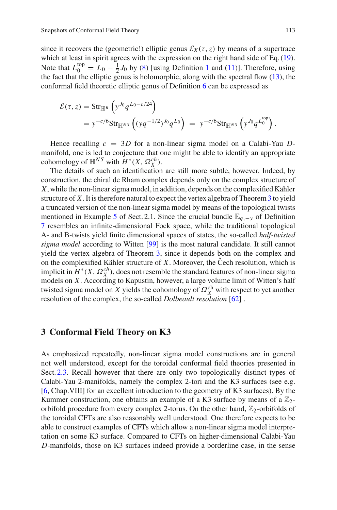since it recovers the (geometric!) elliptic genus  $\mathcal{E}_X(\tau, z)$  by means of a supertrace which at least in spirit agrees with the expression on the right hand side of Eq. [\(19\)](#page-21-1). Note that  $L_0^{\text{top}} = L_0 - \frac{1}{2}J_0$  $L_0^{\text{top}} = L_0 - \frac{1}{2}J_0$  $L_0^{\text{top}} = L_0 - \frac{1}{2}J_0$  by [\(8\)](#page-8-0) [using Definition 1 and [\(11\)](#page-15-1)]. Therefore, using the fact that the elliptic genus is holomorphic, along with the spectral flow  $(13)$ , the conformal field theoretic elliptic genus of Definition [6](#page-19-1) can be expressed as

$$
\mathcal{E}(\tau, z) = \text{Str}_{\mathbb{H}^R} \left( y^{J_0} q^{L_0 - c/24} \right)
$$
  
=  $y^{-c/6} \text{Str}_{\mathbb{H}^{NS}} \left( (yq^{-1/2})^{J_0} q^{L_0} \right) = y^{-c/6} \text{Str}_{\mathbb{H}^{NS}} \left( y^{J_0} q^{L_0^{top}} \right).$ 

Hence recalling *c* = 3*D* for a non-linear sigma model on a Calabi-Yau *D*manifold, one is led to conjecture that one might be able to identify an appropriate cohomology of  $\mathbb{H}^{NS}$  with  $H^*(X, \Omega_X^{ch})$ .

The details of such an identification are still more subtle, however. Indeed, by construction, the chiral de Rham complex depends only on the complex structure of *X*, while the non-linear sigma model, in addition, depends on the complexified Kähler structure of *X*. It is therefore natural to expect the vertex algebra of Theorem [3](#page-23-0) to yield a truncated version of the non-linear sigma model by means of the topological twists mentioned in Example [5](#page-7-5) of Sect. 2.1. Since the crucial bundle <sup>E</sup>*q*,−*<sup>y</sup>* of Definition [7](#page-21-0) resembles an infinite-dimensional Fock space, while the traditional topological A- and B-twists yield finite dimensional spaces of states, the so-called *half-twisted sigma model* according to Witten [\[99\]](#page-40-14) is the most natural candidate. It still cannot yield the vertex algebra of Theorem [3,](#page-23-0) since it depends both on the complex and on the complexified Kähler structure of *X*. Moreover, the Cech resolution, which is ˘ implicit in  $H^*(X, \Omega_X^{ch})$ , does not resemble the standard features of non-linear sigma models on *X*. According to Kapustin, however, a large volume limit of Witten's half twisted sigma model on *X* yields the cohomology of  $\Omega_X^{\text{ch}}$  with respect to yet another resolution of the complex, the so-called *Dolbeault resolution* [\[62\]](#page-39-21) .

### <span id="page-24-0"></span>**3 Conformal Field Theory on K3**

As emphasized repeatedly, non-linear sigma model constructions are in general not well understood, except for the toroidal conformal field theories presented in Sect. [2.3.](#page-17-0) Recall however that there are only two topologically distinct types of Calabi-Yau 2-manifolds, namely the complex 2-tori and the K3 surfaces (see e.g. [\[6,](#page-37-16) Chap.VIII] for an excellent introduction to the geometry of K3 surfaces). By the Kummer construction, one obtains an example of a K3 surface by means of a  $\mathbb{Z}_2$ orbifold procedure from every complex 2-torus. On the other hand,  $\mathbb{Z}_2$ -orbifolds of the toroidal CFTs are also reasonably well understood. One therefore expects to be able to construct examples of CFTs which allow a non-linear sigma model interpretation on some K3 surface. Compared to CFTs on higher-dimensional Calabi-Yau *D*-manifolds, those on K3 surfaces indeed provide a borderline case, in the sense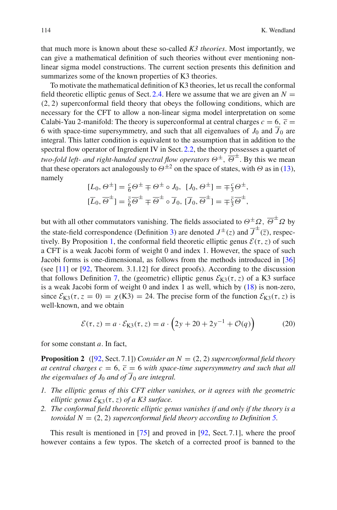that much more is known about these so-called *K3 theories*. Most importantly, we can give a mathematical definition of such theories without ever mentioning nonlinear sigma model constructions. The current section presents this definition and summarizes some of the known properties of K3 theories.

To motivate the mathematical definition of K3 theories, let us recall the conformal field theoretic elliptic genus of Sect. [2.4.](#page-18-0) Here we assume that we are given an  $N =$ (2, 2) superconformal field theory that obeys the following conditions, which are necessary for the CFT to allow a non-linear sigma model interpretation on some Calabi-Yau 2-manifold: The theory is superconformal at central charges  $c = 6$ ,  $\bar{c} =$ 6 with space-time supersymmetry, and such that all eigenvalues of  $J_0$  and  $\overline{J}_0$  are integral. This latter condition is equivalent to the assumption that in addition to the spectral flow operator of Ingredient IV in Sect. [2.2,](#page-10-0) the theory possesses a quartet of *two-fold left- and right-handed spectral flow operators*  $\Theta^{\pm}$ ,  $\overline{\Theta}^{\pm}$ . By this we mean that these operators act analogously to  $\Theta^{\pm 2}$  on the space of states, with  $\Theta$  as in [\(13\)](#page-16-0), namely

$$
[L_0, \Theta^{\pm}] = \frac{c}{6}\Theta^{\pm} \mp \Theta^{\pm} \circ J_0, [J_0, \Theta^{\pm}] = \mp \frac{c}{3}\Theta^{\pm}, [\overline{L}_0, \overline{\Theta}^{\pm}] = \frac{\overline{c}}{6}\overline{\Theta}^{\pm} \mp \overline{\Theta}^{\pm} \circ \overline{J}_0, [\overline{J}_0, \overline{\Theta}^{\pm}] = \mp \frac{\overline{c}}{3}\overline{\Theta}^{\pm},
$$

but with all other commutators vanishing. The fields associated to  $\Theta^{\pm}\Omega$ ,  $\overline{\Theta}^{\pm}\Omega$  by the state-field correspondence (Definition [3\)](#page-8-1) are denoted  $J^{\pm}(z)$  and  $\overline{J}^{\pm}(\overline{z})$ , respec-tively. By Proposition [1,](#page-19-0) the conformal field theoretic elliptic genus  $\mathcal{E}(\tau, z)$  of such a CFT is a weak Jacobi form of weight 0 and index 1. However, the space of such Jacobi forms is one-dimensional, as follows from the methods introduced in [\[36\]](#page-38-10) (see [\[11](#page-37-11)] or [\[92,](#page-40-2) Theorem. 3.1.12] for direct proofs). According to the discussion that follows Definition [7,](#page-21-0) the (geometric) elliptic genus  $\mathcal{E}_{K3}(\tau, z)$  of a K3 surface is a weak Jacobi form of weight 0 and index 1 as well, which by [\(18\)](#page-21-2) is non-zero, since  $\mathcal{E}_{K3}(\tau, z = 0) = \chi(K3) = 24$ . The precise form of the function  $\mathcal{E}_{K3}(\tau, z)$  is well-known, and we obtain

$$
\mathcal{E}(\tau, z) = a \cdot \mathcal{E}_{K3}(\tau, z) = a \cdot \left(2y + 20 + 2y^{-1} + \mathcal{O}(q)\right)
$$
 (20)

<span id="page-25-1"></span><span id="page-25-0"></span>for some constant *a*. In fact,

**Proposition 2** ([\[92,](#page-40-2) Sect. 7.1]) *Consider an N* = (2, 2) *superconformal field theory at central charges c* = 6,  $\bar{c}$  = 6 *with space-time supersymmetry and such that all the eigenvalues of*  $J_0$  *and of*  $\overline{J_0}$  *are integral.* 

- *1. The elliptic genus of this CFT either vanishes, or it agrees with the geometric elliptic genus*  $\mathcal{E}_{K3}(\tau, z)$  *of a K3 surface.*
- *2. The conformal field theoretic elliptic genus vanishes if and only if the theory is a toroidal*  $N = (2, 2)$  *superconformal field theory according to Definition* [5.](#page-17-4)

This result is mentioned in [\[75](#page-39-22)] and proved in [\[92,](#page-40-2) Sect. 7.1], where the proof however contains a few typos. The sketch of a corrected proof is banned to the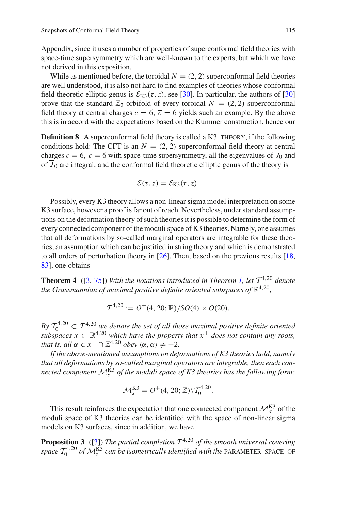Appendix, since it uses a number of properties of superconformal field theories with space-time supersymmetry which are well-known to the experts, but which we have not derived in this exposition.

While as mentioned before, the toroidal  $N = (2, 2)$  superconformal field theories are well understood, it is also not hard to find examples of theories whose conformal field theoretic elliptic genus is  $\mathcal{E}_{K3}(\tau, z)$ , see [\[30](#page-38-8)]. In particular, the authors of [\[30\]](#page-38-8) prove that the standard  $\mathbb{Z}_2$ -orbifold of every toroidal  $N = (2, 2)$  superconformal field theory at central charges  $c = 6$ ,  $\bar{c} = 6$  yields such an example. By the above this is in accord with the expectations based on the Kummer construction, hence our

<span id="page-26-1"></span>**Definition 8** A superconformal field theory is called a K3 THEORY, if the following conditions hold: The CFT is an  $N = (2, 2)$  superconformal field theory at central charges  $c = 6$ ,  $\bar{c} = 6$  with space-time supersymmetry, all the eigenvalues of  $J_0$  and of  $\overline{J}_0$  are integral, and the conformal field theoretic elliptic genus of the theory is

$$
\mathcal{E}(\tau,z)=\mathcal{E}_{\text{K3}}(\tau,z).
$$

Possibly, every K3 theory allows a non-linear sigma model interpretation on some K3 surface, however a proof is far out of reach. Nevertheless, under standard assumptions on the deformation theory of such theories it is possible to determine the form of every connected component of the moduli space of K3 theories. Namely, one assumes that all deformations by so-called marginal operators are integrable for these theories, an assumption which can be justified in string theory and which is demonstrated to all orders of perturbation theory in [\[26\]](#page-38-11). Then, based on the previous results [\[18,](#page-37-17) [83\]](#page-40-15), one obtains

**Theorem 4** ([\[3](#page-37-18), [75](#page-39-22)]) *With the notations introduced in Theorem [1,](#page-18-1) let*  $T^{4,20}$  *denote the Grassmannian of maximal positive definite oriented subspaces of*  $\mathbb{R}^{4,20}$ *,* 

$$
\mathcal{T}^{4,20} := O^+(4, 20; \mathbb{R})/SO(4) \times O(20).
$$

*By*  $T_0^{4,20} \subset T^{4,20}$  *we denote the set of all those maximal positive definite oriented subspaces*  $x \text{ }\subset \mathbb{R}^{4,20}$  *which have the property that*  $x^{\perp}$  *does not contain any roots, that is, all*  $\alpha \in x^{\perp} \cap \mathbb{Z}^{4,20}$  *obey*  $\langle \alpha, \alpha \rangle \neq -2$ *.* 

*If the above-mentioned assumptions on deformations of K3 theories hold, namely that all deformations by so-called marginal operators are integrable, then each connected component <sup>M</sup>*K3 *<sup>s</sup> of the moduli space of K3 theories has the following form:*

$$
\mathcal{M}_s^{\mathrm{K3}} = O^+(4, 20; \mathbb{Z}) \backslash \mathcal{T}_0^{4, 20}.
$$

This result reinforces the expectation that one connected component  $\mathcal{M}_{\sigma}^{K3}$  of the moduli space of K3 theories can be identified with the space of non-linear sigma models on K3 surfaces, since in addition, we have

<span id="page-26-0"></span>**Proposition 3** ([\[3\]](#page-37-18)) *The partial completion*  $T^{4,20}$  *of the smooth universal covering space*  $T_0^{4,20}$  *of*  $\mathcal{M}_s^{K3}$  *can be isometrically identified with the* PARAMETER SPACE OF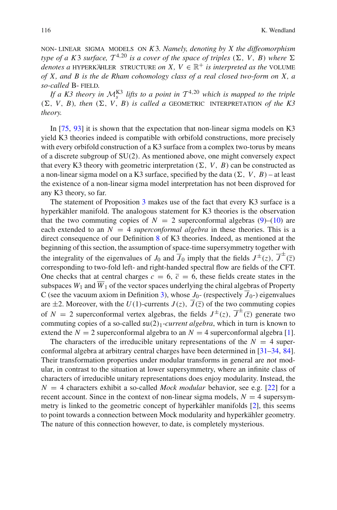non- linear sigma models on *K*3*. Namely, denoting by X the diffeomorphism type of a K3 surface,*  $T^{4,20}$  *is a cover of the space of triples*  $(\Sigma, V, B)$  *where*  $\Sigma$ *denotes a* HYPERKÄHLER STRUCTURE *on*  $X, V \in \mathbb{R}^+$  *is interpreted as the* VOLUME *of X, and B is the de Rham cohomology class of a real closed two-form on X, a so-called* B- field*.*

*If a K3 theory in*  $M_s^{K3}$  *lifts to a point in*  $T^{4,20}$  *which is mapped to the triple*  $(\Sigma, V, B)$ *, then*  $(\Sigma, V, B)$  *is called a* GEOMETRIC INTERPRETATION of the K3 *theory.*

In [\[75,](#page-39-22) [93](#page-40-16)] it is shown that the expectation that non-linear sigma models on K3 yield K3 theories indeed is compatible with orbifold constructions, more precisely with every orbifold construction of a K3 surface from a complex two-torus by means of a discrete subgroup of SU(2). As mentioned above, one might conversely expect that every K3 theory with geometric interpretation  $(\Sigma, V, B)$  can be constructed as a non-linear sigma model on a K3 surface, specified by the data  $(\Sigma, V, B)$  – at least the existence of a non-linear sigma model interpretation has not been disproved for any K3 theory, so far.

The statement of Proposition [3](#page-26-0) makes use of the fact that every K3 surface is a hyperkähler manifold. The analogous statement for K3 theories is the observation that the two commuting copies of  $N = 2$  superconformal algebras [\(9\)](#page-8-2)–[\(10\)](#page-8-3) are each extended to an  $N = 4$  *superconformal algebra* in these theories. This is a direct consequence of our Definition [8](#page-26-1) of K3 theories. Indeed, as mentioned at the beginning of this section, the assumption of space-time supersymmetry together with the integrality of the eigenvalues of  $J_0$  and  $\overline{J}_0$  imply that the fields  $J^{\pm}(z)$ ,  $\overline{J}^{\pm}(\overline{z})$ corresponding to two-fold left- and right-handed spectral flow are fields of the CFT. One checks that at central charges  $c = 6$ ,  $\bar{c} = 6$ , these fields create states in the subspaces  $W_1$  and  $\overline{W}_1$  of the vector spaces underlying the chiral algebras of Property C (see the vacuum axiom in Definition [3\)](#page-8-1), whose  $J_0$ - (respectively  $\overline{J}_0$ -) eigenvalues are  $\pm 2$ . Moreover, with the *U*(1)-currents *J*(*z*),  $\overline{J}(\overline{z})$  of the two commuting copies of *N* = 2 superconformal vertex algebras, the fields  $J^{\pm}(z)$ ,  $\overline{J}^{\pm}(\overline{z})$  generate two commuting copies of a so-called  $\mathfrak{su}(2)_1$ -*current algebra*, which in turn is known to extend the  $N = 2$  superconformal algebra to an  $N = 4$  superconformal algebra [\[1](#page-37-19)].

The characters of the irreducible unitary representations of the  $N = 4$  superconformal algebra at arbitrary central charges have been determined in [\[31](#page-38-12)[–34,](#page-38-13) [84](#page-40-17)]. Their transformation properties under modular transforms in general are not modular, in contrast to the situation at lower supersymmetry, where an infinite class of characters of irreducible unitary representations does enjoy modularity. Instead, the  $N = 4$  characters exhibit a so-called *Mock modular* behavior, see e.g. [\[22](#page-37-20)] for a recent account. Since in the context of non-linear sigma models,  $N = 4$  supersymmetry is linked to the geometric concept of hyperkähler manifolds [\[2](#page-37-21)], this seems to point towards a connection between Mock modularity and hyperkähler geometry. The nature of this connection however, to date, is completely mysterious.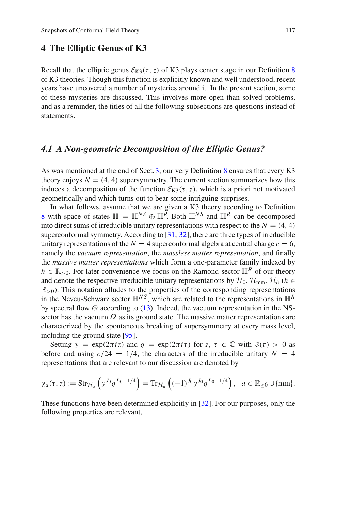# <span id="page-28-0"></span>**4 The Elliptic Genus of K3**

Recall that the elliptic genus  $\mathcal{E}_{K3}(\tau, z)$  of K3 plays center stage in our Definition [8](#page-26-1) of K3 theories. Though this function is explicitly known and well understood, recent years have uncovered a number of mysteries around it. In the present section, some of these mysteries are discussed. This involves more open than solved problems, and as a reminder, the titles of all the following subsections are questions instead of statements.

## <span id="page-28-1"></span>*4.1 A Non-geometric Decomposition of the Elliptic Genus?*

As was mentioned at the end of Sect. [3,](#page-24-0) our very Definition [8](#page-26-1) ensures that every K3 theory enjoys  $N = (4, 4)$  supersymmetry. The current section summarizes how this induces a decomposition of the function  $\mathcal{E}_{K3}(\tau, z)$ , which is a priori not motivated geometrically and which turns out to bear some intriguing surprises.

In what follows, assume that we are given a K3 theory according to Definition [8](#page-26-1) with space of states  $\mathbb{H} = \mathbb{H}^{NS} \oplus \mathbb{H}^{R}$ . Both  $\mathbb{H}^{NS}$  and  $\mathbb{H}^{R}$  can be decomposed into direct sums of irreducible unitary representations with respect to the  $N = (4, 4)$ superconformal symmetry. According to [\[31](#page-38-12), [32\]](#page-38-14), there are three types of irreducible unitary representations of the  $N = 4$  superconformal algebra at central charge  $c = 6$ , namely the *vacuum representation*, the *massless matter representation*, and finally the *massive matter representations* which form a one-parameter family indexed by  $h \in \mathbb{R}_{>0}$ . For later convenience we focus on the Ramond-sector  $\mathbb{H}^R$  of our theory and denote the respective irreducible unitary representations by  $\mathcal{H}_0$ ,  $\mathcal{H}_{mm}$ ,  $\mathcal{H}_h$  (*h* ∈  $\mathbb{R}_{>0}$ ). This notation alludes to the properties of the corresponding representations in the Neveu-Schwarz sector  $\mathbb{H}^{NS}$ , which are related to the representations in  $\mathbb{H}^{R}$ by spectral flow  $\Theta$  according to [\(13\)](#page-16-0). Indeed, the vacuum representation in the NSsector has the vacuum  $\Omega$  as its ground state. The massive matter representations are characterized by the spontaneous breaking of supersymmetry at every mass level, including the ground state [\[95](#page-40-18)].

Setting  $y = \exp(2\pi i z)$  and  $q = \exp(2\pi i \tau)$  for  $z, \tau \in \mathbb{C}$  with  $\Re(\tau) > 0$  as before and using  $c/24 = 1/4$ , the characters of the irreducible unitary  $N = 4$ representations that are relevant to our discussion are denoted by

$$
\chi_a(\tau, z) := \text{Str}_{\mathcal{H}_a} \left( y^{J_0} q^{L_0 - 1/4} \right) = \text{Tr}_{\mathcal{H}_a} \left( (-1)^{J_0} y^{J_0} q^{L_0 - 1/4} \right), \ \ a \in \mathbb{R}_{\geq 0} \cup \{\text{mm}\}.
$$

These functions have been determined explicitly in [\[32](#page-38-14)]. For our purposes, only the following properties are relevant,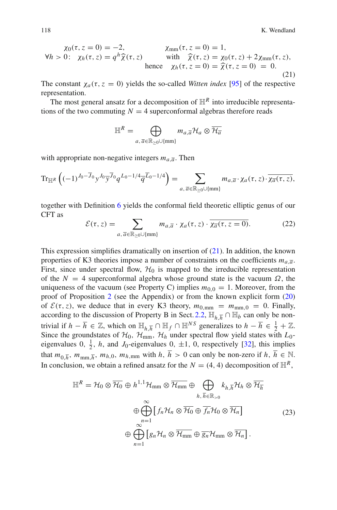<span id="page-29-0"></span>
$$
\begin{aligned}\n\chi_0(\tau, z = 0) &= -2, & \chi_{\text{mm}}(\tau, z = 0) &= 1, \\
\forall h > 0: \quad \chi_h(\tau, z) &= q^h \widehat{\chi}(\tau, z) & \text{with} \quad \widehat{\chi}(\tau, z) &= \chi_0(\tau, z) + 2\chi_{\text{mm}}(\tau, z), \\
\text{hence} \quad \chi_h(\tau, z = 0) &= \widehat{\chi}(\tau, z = 0) &= 0.\n\end{aligned}
$$
\n
$$
(21)
$$

The constant  $\chi_a(\tau, z = 0)$  yields the so-called *Witten index* [\[95](#page-40-18)] of the respective representation.

The most general ansatz for a decomposition of  $\mathbb{H}^R$  into irreducible representations of the two commuting  $N = 4$  superconformal algebras therefore reads

$$
\mathbb{H}^{R} = \bigoplus_{a, \overline{a} \in \mathbb{R}_{\geq 0} \cup \{\text{mm}\}} m_{a, \overline{a}} \mathcal{H}_{a} \otimes \overline{\mathcal{H}_{\overline{a}}}
$$

with appropriate non-negative integers  $m_{a,\overline{a}}$ . Then

$$
\operatorname{Tr}_{\mathbb{H}^R}\left((-1)^{J_0-\overline{J}_0}y^{J_0}\overline{y}^{\overline{J}_0}q^{L_0-1/4}\overline{q}^{\overline{L}_0-1/4}\right)=\sum_{a,\,\overline{a}\in\mathbb{R}_{\geq 0}\cup\{\text{mm}\}}m_{a,\overline{a}}\cdot\chi_a(\tau,z)\cdot\overline{\chi_{\overline{a}}(\tau,z)},
$$

<span id="page-29-1"></span>together with Definition [6](#page-19-1) yields the conformal field theoretic elliptic genus of our CFT as

$$
\mathcal{E}(\tau, z) = \sum_{a, \overline{a} \in \mathbb{R}_{\geq 0} \cup \{\text{mm}\}} m_{a, \overline{a}} \cdot \chi_a(\tau, z) \cdot \overline{\chi_{\overline{a}}(\tau, z = 0)}.
$$
 (22)

This expression simplifies dramatically on insertion of [\(21\)](#page-29-0). In addition, the known properties of K3 theories impose a number of constraints on the coefficients  $m_{a,\overline{a}}$ . First, since under spectral flow,  $H_0$  is mapped to the irreducible representation of the  $N = 4$  superconformal algebra whose ground state is the vacuum  $\Omega$ , the uniqueness of the vacuum (see Property C) implies  $m_{0,0} = 1$ . Moreover, from the proof of Proposition [2](#page-25-0) (see the Appendix) or from the known explicit form [\(20\)](#page-25-1) of  $\mathcal{E}(\tau, z)$ , we deduce that in every K3 theory,  $m_{0,\text{mm}} = m_{\text{mm},0} = 0$ . Finally, according to the discussion of Property B in Sect. [2.2,](#page-10-0)  $\mathbb{H}_{h}$ <sub>*h*</sub> ∩  $\mathbb{H}_{b}$  can only be nontrivial if  $h - \overline{h} \in \mathbb{Z}$ , which on  $\mathbb{H}_{h,\overline{h}} \cap \mathbb{H}_f \cap \mathbb{H}^{NS}$  generalizes to  $h - \overline{h} \in \frac{1}{2} + \mathbb{Z}$ . Since the groundstates of  $H_0$ ,  $H_{mm}$ ,  $H_h$  under spectral flow yield states with  $L_0$ eigenvalues 0,  $\frac{1}{2}$ , *h*, and *J*<sub>0</sub>-eigenvalues 0,  $\pm 1$ , 0, respectively [\[32](#page-38-14)], this implies that  $m_{0,\overline{h}}, m_{mm,\overline{h}}, m_{h,0}, m_{h,mm}$  with  $h, \overline{h} > 0$  can only be non-zero if  $h, \overline{h} \in \mathbb{N}$ . In conclusion, we obtain a refined ansatz for the  $N = (4, 4)$  decomposition of  $\mathbb{H}^R$ ,

<span id="page-29-2"></span>
$$
\mathbb{H}^{R} = \mathcal{H}_{0} \otimes \overline{\mathcal{H}_{0}} \oplus h^{1,1} \mathcal{H}_{mm} \otimes \overline{\mathcal{H}_{mm}} \oplus \bigoplus_{h,\overline{h} \in \mathbb{R}_{>0}} k_{h,\overline{h}} \mathcal{H}_{h} \otimes \overline{\mathcal{H}_{\overline{h}}}
$$

$$
\oplus \bigoplus_{n=1}^{\infty} \left[ f_{n} \mathcal{H}_{n} \otimes \overline{\mathcal{H}_{0}} \oplus \overline{f_{n}} \mathcal{H}_{0} \otimes \overline{\mathcal{H}_{n}} \right]
$$

$$
\oplus \bigoplus_{n=1}^{\infty} \left[ g_{n} \mathcal{H}_{n} \otimes \overline{\mathcal{H}_{mm}} \oplus \overline{g_{n}} \mathcal{H}_{mm} \otimes \overline{\mathcal{H}_{n}} \right].
$$
(23)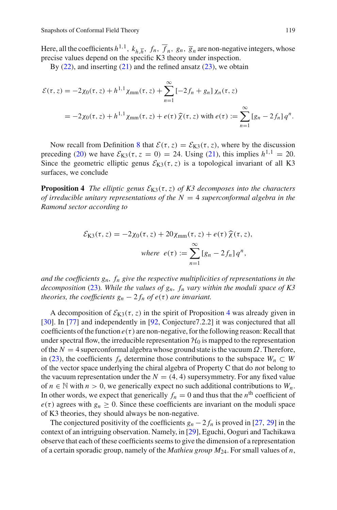Here, all the coefficients  $h^{1,1}$ ,  $k_{h,\overline{h}}$ ,  $f_n$ ,  $\overline{f_n}$ ,  $g_n$ ,  $\overline{g_n}$  are non-negative integers, whose precise values depend on the specific K3 theory under inspection.

By  $(22)$ , and inserting  $(21)$  and the refined ansatz  $(23)$ , we obtain

$$
\mathcal{E}(\tau, z) = -2\chi_0(\tau, z) + h^{1,1}\chi_{\text{mm}}(\tau, z) + \sum_{n=1}^{\infty} [-2f_n + g_n] \chi_n(\tau, z)
$$
  
=  $-2\chi_0(\tau, z) + h^{1,1}\chi_{\text{mm}}(\tau, z) + e(\tau) \widehat{\chi}(\tau, z)$  with  $e(\tau) := \sum_{n=1}^{\infty} [g_n - 2f_n] q^n$ .

Now recall from Definition [8](#page-26-1) that  $\mathcal{E}(\tau, z) = \mathcal{E}_{K3}(\tau, z)$ , where by the discussion preceding [\(20\)](#page-25-1) we have  $\mathcal{E}_{K3}(\tau, z = 0) = 24$ . Using [\(21\)](#page-29-0), this implies  $h^{1,1} = 20$ . Since the geometric elliptic genus  $\mathcal{E}_{K3}(\tau, z)$  is a topological invariant of all K3 surfaces, we conclude

<span id="page-30-0"></span>**Proposition 4** *The elliptic genus*  $\mathcal{E}_{K3}(\tau, z)$  *of K3 decomposes into the characters of irreducible unitary representations of the N* = 4 *superconformal algebra in the Ramond sector according to*

$$
\mathcal{E}_{K3}(\tau, z) = -2\chi_0(\tau, z) + 20\chi_{mm}(\tau, z) + e(\tau)\,\widehat{\chi}(\tau, z),
$$
  
where  $e(\tau) := \sum_{n=1}^{\infty} [g_n - 2f_n]q^n$ ,

*and the coefficients gn, fn give the respective multiplicities of representations in the decomposition* [\(23\)](#page-29-2)*. While the values of gn, fn vary within the moduli space of K3 theories, the coefficients*  $g_n - 2f_n$  *of e*( $\tau$ ) *are invariant.* 

A decomposition of  $\mathcal{E}_{K3}(\tau, z)$  in the spirit of Proposition [4](#page-30-0) was already given in [\[30\]](#page-38-8). In [\[77\]](#page-39-23) and independently in [\[92](#page-40-2), Conjecture7.2.2] it was conjectured that all coefficients of the function  $e(\tau)$  are non-negative, for the following reason: Recall that under spectral flow, the irreducible representation  $H_0$  is mapped to the representation of the  $N = 4$  superconformal algebra whose ground state is the vacuum  $\Omega$ . Therefore, in [\(23\)](#page-29-2), the coefficients  $f_n$  determine those contributions to the subspace  $W_n \subset W$ of the vector space underlying the chiral algebra of Property C that do not belong to the vacuum representation under the  $N = (4, 4)$  supersymmetry. For any fixed value of  $n \in \mathbb{N}$  with  $n > 0$ , we generically expect no such additional contributions to  $W_n$ . In other words, we expect that generically  $f_n = 0$  and thus that the  $n^{\text{th}}$  coefficient of  $e(\tau)$  agrees with  $g_n \geq 0$ . Since these coefficients are invariant on the moduli space of K3 theories, they should always be non-negative.

The conjectured positivity of the coefficients  $g_n - 2 f_n$  is proved in [\[27](#page-38-15), [29\]](#page-38-16) in the context of an intriguing observation. Namely, in [\[29\]](#page-38-16), Eguchi, Ooguri and Tachikawa observe that each of these coefficients seems to give the dimension of a representation of a certain sporadic group, namely of the *Mathieu group M*24. For small values of *n*,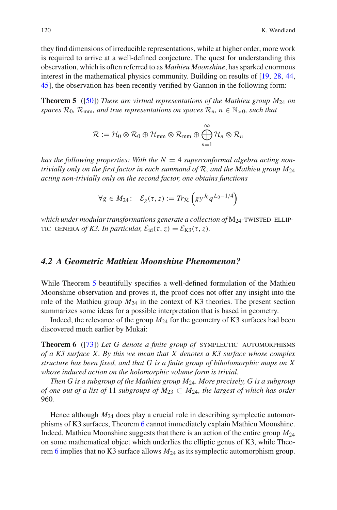they find dimensions of irreducible representations, while at higher order, more work is required to arrive at a well-defined conjecture. The quest for understanding this observation, which is often referred to as *Mathieu Moonshine*, has sparked enormous interest in the mathematical physics community. Building on results of [\[19](#page-37-22), [28,](#page-38-17) [44,](#page-38-18) [45\]](#page-38-19), the observation has been recently verified by Gannon in the following form:

<span id="page-31-0"></span>**Theorem 5** ([\[50](#page-38-20)]) *There are virtual representations of the Mathieu group M*<sup>24</sup> *on spaces*  $\mathcal{R}_0$ ,  $\mathcal{R}_{mm}$ *, and true representations on spaces*  $\mathcal{R}_n$ *, n*  $\in$  N<sub>>0</sub>*, such that* 

$$
\mathcal{R} := \mathcal{H}_0 \otimes \mathcal{R}_0 \oplus \mathcal{H}_{mm} \otimes \mathcal{R}_{mm} \oplus \bigoplus_{n=1}^{\infty} \mathcal{H}_n \otimes \mathcal{R}_n
$$

has the following properties: With the  $N = 4$  superconformal algebra acting non*trivially only on the first factor in each summand of R, and the Mathieu group M*<sup>24</sup> *acting non-trivially only on the second factor, one obtains functions*

$$
\forall g \in M_{24}: \quad \mathcal{E}_g(\tau, z) := \text{Tr}_{\mathcal{R}} \left( g y^{J_0} q^{L_0 - 1/4} \right)
$$

*which under modular transformations generate a collection of*  $M_{24}$ -TWISTED ELLIP-TIC GENERA *of K3. In particular,*  $\mathcal{E}_{id}(\tau, z) = \mathcal{E}_{K3}(\tau, z)$ .

### <span id="page-31-2"></span>*4.2 A Geometric Mathieu Moonshine Phenomenon?*

While Theorem [5](#page-31-0) beautifully specifies a well-defined formulation of the Mathieu Moonshine observation and proves it, the proof does not offer any insight into the role of the Mathieu group  $M_{24}$  in the context of K3 theories. The present section summarizes some ideas for a possible interpretation that is based in geometry.

<span id="page-31-1"></span>Indeed, the relevance of the group  $M_{24}$  for the geometry of K3 surfaces had been discovered much earlier by Mukai:

**Theorem 6** ([\[73](#page-39-24)]) *Let G denote a finite group of* SYMPLECTIC AUTOMORPHISMS *of a K3 surface X. By this we mean that X denotes a K3 surface whose complex structure has been fixed, and that G is a finite group of biholomorphic maps on X whose induced action on the holomorphic volume form is trivial.*

*Then G is a subgroup of the Mathieu group M*24*. More precisely, G is a subgroup of one out of a list of* 11 *subgroups of*  $M_{23} \subset M_{24}$ *, the largest of which has order* 960*.*

Hence although  $M_{24}$  does play a crucial role in describing symplectic automorphisms of K3 surfaces, Theorem [6](#page-31-1) cannot immediately explain Mathieu Moonshine. Indeed, Mathieu Moonshine suggests that there is an action of the entire group *M*<sup>24</sup> on some mathematical object which underlies the elliptic genus of K3, while Theorem [6](#page-31-1) implies that no K3 surface allows *M*<sup>24</sup> as its symplectic automorphism group.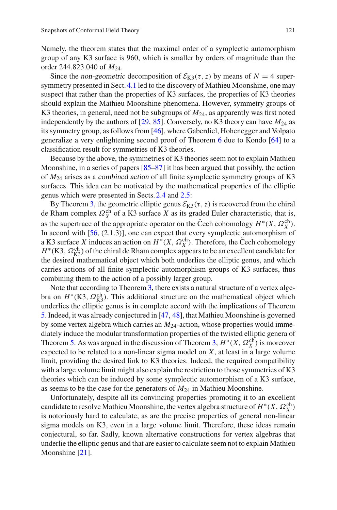Namely, the theorem states that the maximal order of a symplectic automorphism group of any K3 surface is 960, which is smaller by orders of magnitude than the order 244.823.040 of  $M_{24}$ .

Since the non-geometric decomposition of  $\mathcal{E}_{K3}(\tau, z)$  by means of  $N = 4$  supersymmetry presented in Sect. [4.1](#page-28-1) led to the discovery of Mathieu Moonshine, one may suspect that rather than the properties of K3 surfaces, the properties of K3 theories should explain the Mathieu Moonshine phenomena. However, symmetry groups of K3 theories, in general, need not be subgroups of  $M<sub>24</sub>$ , as apparently was first noted independently by the authors of  $[29, 85]$  $[29, 85]$  $[29, 85]$ . Conversely, no K3 theory can have  $M_{24}$  as its symmetry group, as follows from [\[46](#page-38-21)], where Gaberdiel, Hohenegger and Volpato generalize a very enlightening second proof of Theorem [6](#page-31-1) due to Kondo [\[64\]](#page-39-25) to a classification result for symmetries of K3 theories.

Because by the above, the symmetries of K3 theories seem not to explain Mathieu Moonshine, in a series of papers [\[85](#page-40-19)[–87](#page-40-20)] it has been argued that possibly, the action of *M*<sup>24</sup> arises as a combined action of all finite symplectic symmetry groups of K3 surfaces. This idea can be motivated by the mathematical properties of the elliptic genus which were presented in Sects. [2.4](#page-18-0) and [2.5:](#page-22-0)

By Theorem [3,](#page-23-0) the geometric elliptic genus  $\mathcal{E}_{K3}(\tau, z)$  is recovered from the chiral de Rham complex  $\Omega_X^{\text{ch}}$  of a K3 surface *X* as its graded Euler characteristic, that is, as the supertrace of the appropriate operator on the Čech cohomology  $H^*(X, \Omega_X^{\text{ch}})$ . In accord with  $[56, (2.1.3)]$  $[56, (2.1.3)]$ , one can expect that every symplectic automorphism of a K3 surface *X* induces an action on  $H^*(X, \Omega_X^{\text{ch}})$ . Therefore, the Cech cohomology  $H^*(K3, \Omega_{K3}^{ch})$  of the chiral de Rham complex appears to be an excellent candidate for the desired mathematical object which both underlies the elliptic genus, and which carries actions of all finite symplectic automorphism groups of K3 surfaces, thus combining them to the action of a possibly larger group.

Note that according to Theorem [3,](#page-23-0) there exists a natural structure of a vertex algebra on  $H^*(K3, \Omega_{K3}^{ch})$ . This additional structure on the mathematical object which underlies the elliptic genus is in complete accord with the implications of Theorem [5.](#page-31-0) Indeed, it was already conjectured in [\[47,](#page-38-22) [48\]](#page-38-23), that Mathieu Moonshine is governed by some vertex algebra which carries an *M*24-action, whose properties would immediately induce the modular transformation properties of the twisted elliptic genera of Theorem [5.](#page-31-0) As was argued in the discussion of Theorem [3,](#page-23-0)  $H^*(X, \Omega_X^{\text{ch}})$  is moreover expected to be related to a non-linear sigma model on *X*, at least in a large volume limit, providing the desired link to K3 theories. Indeed, the required compatibility with a large volume limit might also explain the restriction to those symmetries of K3 theories which can be induced by some symplectic automorphism of a K3 surface, as seems to be the case for the generators of *M*<sup>24</sup> in Mathieu Moonshine.

Unfortunately, despite all its convincing properties promoting it to an excellent candidate to resolve Mathieu Moonshine, the vertex algebra structure of  $H^*(X, \Omega_X^{\text{ch}})$ is notoriously hard to calculate, as are the precise properties of general non-linear sigma models on K3, even in a large volume limit. Therefore, these ideas remain conjectural, so far. Sadly, known alternative constructions for vertex algebras that underlie the elliptic genus and that are easier to calculate seem not to explain Mathieu Moonshine [\[21](#page-37-23)].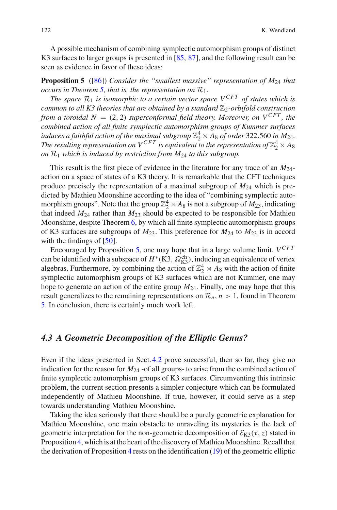<span id="page-33-0"></span>A possible mechanism of combining symplectic automorphism groups of distinct K3 surfaces to larger groups is presented in [\[85](#page-40-19), [87\]](#page-40-20), and the following result can be seen as evidence in favor of these ideas:

**Proposition 5** ([\[86\]](#page-40-21)) *Consider the "smallest massive" representation of M*<sup>24</sup> *that occurs in Theorem [5,](#page-31-0) that is, the representation on R*1*.*

*The space*  $\mathcal{R}_1$  *is isomorphic to a certain vector space*  $V^{CFT}$  *of states which is common to all K3 theories that are obtained by a standard*  $\mathbb{Z}_2$ -orbifold construction *from a toroidal*  $N = (2, 2)$  *superconformal field theory. Moreover, on*  $V^{CFT}$ *, the combined action of all finite symplectic automorphism groups of Kummer surfaces induces a faithful action of the maximal subgroup*  $\mathbb{Z}_2^4 \rtimes A_8$  *of order* 322.560 *in*  $M_{24}$ *.* The resulting representation on  $V^{CFT}$  is equivalent to the representation of  $\mathbb{Z}_2^4\rtimes A_8$ *on R*<sup>1</sup> *which is induced by restriction from M*<sup>24</sup> *to this subgroup.*

This result is the first piece of evidence in the literature for any trace of an *M*24 action on a space of states of a K3 theory. It is remarkable that the CFT techniques produce precisely the representation of a maximal subgroup of *M*<sup>24</sup> which is predicted by Mathieu Moonshine according to the idea of "combining symplectic automorphism groups". Note that the group  $\mathbb{Z}_2^4 \rtimes A_8$  is not a subgroup of  $M_{23}$ , indicating that indeed  $M_{24}$  rather than  $M_{23}$  should be expected to be responsible for Mathieu Moonshine, despite Theorem [6,](#page-31-1) by which all finite symplectic automorphism groups of K3 surfaces are subgroups of  $M_{23}$ . This preference for  $M_{24}$  to  $M_{23}$  is in accord with the findings of [\[50](#page-38-20)].

Encouraged by Proposition [5,](#page-33-0) one may hope that in a large volume limit, *V CFT* can be identified with a subspace of  $H^*(K3, \Omega_{K3}^{ch})$ , inducing an equivalence of vertex algebras. Furthermore, by combining the action of  $\mathbb{Z}_2^4 \rtimes A_8$  with the action of finite symplectic automorphism groups of K3 surfaces which are not Kummer, one may hope to generate an action of the entire group  $M_{24}$ . Finally, one may hope that this result generalizes to the remaining representations on  $\mathcal{R}_n$ ,  $n > 1$ , found in Theorem [5.](#page-31-0) In conclusion, there is certainly much work left.

### *4.3 A Geometric Decomposition of the Elliptic Genus?*

Even if the ideas presented in Sect. [4.2](#page-31-2) prove successful, then so far, they give no indication for the reason for  $M_{24}$  -of all groups- to arise from the combined action of finite symplectic automorphism groups of K3 surfaces. Circumventing this intrinsic problem, the current section presents a simpler conjecture which can be formulated independently of Mathieu Moonshine. If true, however, it could serve as a step towards understanding Mathieu Moonshine.

Taking the idea seriously that there should be a purely geometric explanation for Mathieu Moonshine, one main obstacle to unraveling its mysteries is the lack of geometric interpretation for the non-geometric decomposition of  $\mathcal{E}_{K3}(\tau, z)$  stated in Proposition [4,](#page-30-0) which is at the heart of the discovery of Mathieu Moonshine. Recall that the derivation of Proposition  $4$  rests on the identification  $(19)$  of the geometric elliptic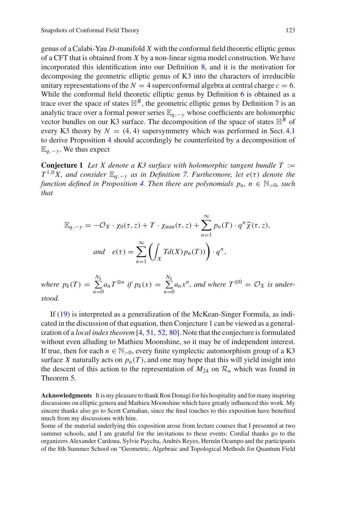genus of a Calabi-Yau *D*-manifold *X* with the conformal field theoretic elliptic genus of a CFT that is obtained from *X* by a non-linear sigma model construction. We have incorporated this identification into our Definition [8,](#page-26-1) and it is the motivation for decomposing the geometric elliptic genus of K3 into the characters of irreducible unitary representations of the  $N = 4$  superconformal algebra at central charge  $c = 6$ . While the conformal field theoretic elliptic genus by Definition [6](#page-19-1) is obtained as a trace over the space of states  $\mathbb{H}^R$ , the geometric elliptic genus by Definition [7](#page-21-0) is an analytic trace over a formal power series  $\mathbb{E}_{q, -\gamma}$  whose coefficients are holomorphic vector bundles on our K3 surface. The decomposition of the space of states H*<sup>R</sup>* of every K3 theory by  $N = (4, 4)$  supersymmetry which was performed in Sect. [4.1](#page-28-1) to derive Proposition [4](#page-30-0) should accordingly be counterfeited by a decomposition of  $\mathbb{E}_{q,-y}$ . We thus expect

<span id="page-34-0"></span>**Conjecture 1** Let X denote a K3 surface with holomorphic tangent bundle  $T :=$  $T^{1,0}X$ , and consider  $\mathbb{E}_{q,-\nu}$  *as in Definition* [7.](#page-21-0) *Furthermore, let*  $e(\tau)$  *denote the function defined in Proposition [4.](#page-30-0) Then there are polynomials*  $p_n$ *,*  $n \in \mathbb{N}_{>0}$ *, such that*

$$
\mathbb{E}_{q,-y} = -\mathcal{O}_X \cdot \chi_0(\tau, z) + T \cdot \chi_{\text{mm}}(\tau, z) + \sum_{n=1}^{\infty} p_n(T) \cdot q^n \widehat{\chi}(\tau, z),
$$
  
and  $e(\tau) = \sum_{n=1}^{\infty} \left( \int_X T d(X) p_n(T) \right) \cdot q^n$ ,

*where*  $p_k(T) = \sum_{i=1}^{n}$ *Nk n*=0  $a_n T^{\otimes n}$  *if*  $p_k(x) = \sum_{k=1}^{N_k}$  $\sum_{n=0}^{\infty} a_n x^n$ , and where  $T^{\otimes 0} = \mathcal{O}_X$  *is understood.*

If [\(19\)](#page-21-1) is interpreted as a generalization of the McKean-Singer Formula, as indicated in the discussion of that equation, then Conjecture [1](#page-34-0) can be viewed as a generalization of a *local index theorem* [\[4,](#page-37-24) [51,](#page-39-26) [52,](#page-39-27) [80\]](#page-40-22). Note that the conjecture is formulated without even alluding to Mathieu Moonshine, so it may be of independent interest. If true, then for each  $n \in \mathbb{N}_{>0}$ , every finite symplectic automorphism group of a K3 surface *X* naturally acts on  $p_n(T)$ , and one may hope that this will yield insight into the descent of this action to the representation of  $M_{24}$  on  $\mathcal{R}_n$  which was found in Theorem [5.](#page-31-0)

**Acknowledgments** It is my pleasure to thank Ron Donagi for his hospitality and for many inspiring discussions on elliptic genera and Mathieu Moonshine which have greatly influenced this work. My sincere thanks also go to Scott Carnahan, since the final touches to this exposition have benefited much from my discussions with him.

Some of the material underlying this exposition arose from lecture courses that I presented at two summer schools, and I am grateful for the invitations to these events: Cordial thanks go to the organizers Alexander Cardona, Sylvie Paycha, Andrés Reyes, Hernán Ocampo and the participants of the 8th Summer School on "Geometric, Algebraic and Topological Methods for Quantum Field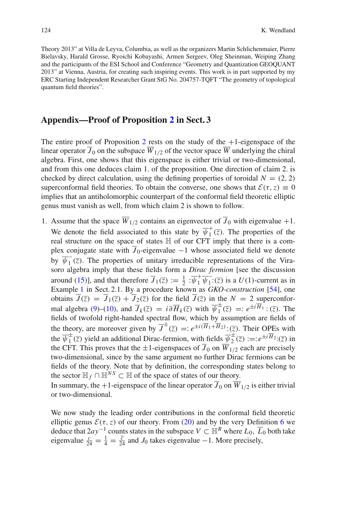Theory 2013" at Villa de Leyva, Columbia, as well as the organizers Martin Schlichenmaier, Pierre Bielavsky, Harald Grosse, Ryoichi Kobayashi, Armen Sergeev, Oleg Sheinman, Weiping Zhang and the participants of the ESI School and Conference "Geometry and Quantization GEOQUANT 2013" at Vienna, Austria, for creating such inspiring events. This work is in part supported by my ERC Starting Independent Researcher Grant StG No. 204757-TQFT "The geometry of topological quantum field theories".

### **Appendix—Proof of Proposition [2](#page-25-0) in Sect. 3**

The entire proof of Proposition [2](#page-25-0) rests on the study of the  $+1$ -eigenspace of the linear operator  $\overline{J}_0$  on the subspace  $\overline{W}_{1/2}$  of the vector space  $\overline{W}$  underlying the chiral algebra. First, one shows that this eigenspace is either trivial or two-dimensional, and from this one deduces claim 1. of the proposition. One direction of claim 2. is checked by direct calculation, using the defining properties of toroidal  $N = (2, 2)$ superconformal field theories. To obtain the converse, one shows that  $\mathcal{E}(\tau, z) \equiv 0$ implies that an antiholomorphic counterpart of the conformal field theoretic elliptic genus must vanish as well, from which claim 2 is shown to follow.

1. Assume that the space  $\overline{W}_{1/2}$  contains an eigenvector of  $\overline{J}_0$  with eigenvalue +1. We denote the field associated to this state by  $\overline{\psi}_1^+(\overline{z})$ . The properties of the real structure on the space of states H of our CFT imply that there is a complex conjugate state with  $\overline{J}_0$ -eigenvalue −1 whose associated field we denote by  $\overline{\psi}_1^-(\overline{z})$ . The properties of unitary irreducible representations of the Virasoro algebra imply that these fields form a *Dirac fermion* [see the discussion around [\(15\)](#page-17-2)], and that therefore  $\overline{J}_1(\overline{z}) := \frac{1}{2} : \overline{\psi}_1^+ \overline{\psi}_1^-(\overline{z})$  is a  $U(1)$ -current as in Example [1](#page-5-0) in Sect. 2.1. By a procedure known as *GKO-construction* [\[54\]](#page-39-28), one obtains  $\overline{J}(\overline{z}) = \overline{J}_1(\overline{z}) + \overline{J}_2(\overline{z})$  for the field  $\overline{J}(\overline{z})$  in the  $N = 2$  superconfor-mal algebra [\(9\)](#page-8-2)–[\(10\)](#page-8-3), and  $\overline{J}_k(\overline{z}) = i \partial \overline{H}_k(\overline{z})$  with  $\overline{\psi}_1^{\pm}(\overline{z}) =: e^{\pm iH_1} : (\overline{z})$ . The fields of twofold right-handed spectral flow, which by assumption are fields of the theory, are moreover given by  $\overline{J}^{\pm}(\overline{z}) =: e^{\pm i(H_1 + H_2)} : (\overline{z})$ . Their OPEs with the  $\overline{\psi}_1^{\pm}(\overline{z})$  yield an additional Dirac-fermion, with fields  $\underline{\psi}_2^{\pm}(\overline{z}) :=: e^{\pm iH_2:}(\overline{z})$  in the CFT. This proves that the  $\pm 1$ -eigenspaces of  $J_0$  on  $W_{1/2}$  each are precisely two-dimensional, since by the same argument no further Dirac fermions can be fields of the theory. Note that by definition, the corresponding states belong to the sector  $\mathbb{H}_f \cap \mathbb{H}^{NS} \subset \mathbb{H}$  of the space of states of our theory.

In summary, the +1-eigenspace of the linear operator  $\overline{J}_0$  on  $\overline{W}_{1/2}$  is either trivial or two-dimensional.

We now study the leading order contributions in the conformal field theoretic elliptic genus  $\mathcal{E}(\tau, z)$  of our theory. From [\(20\)](#page-25-1) and by the very Definition [6](#page-19-1) we deduce that  $2ay^{-1}$  counts states in the subspace  $V \subset \mathbb{H}^R$  where  $L_0$ ,  $\overline{L}_0$  both take eigenvalue  $\frac{c}{24} = \frac{1}{4} = \frac{\overline{c}}{24}$  and *J*<sub>0</sub> takes eigenvalue −1. More precisely,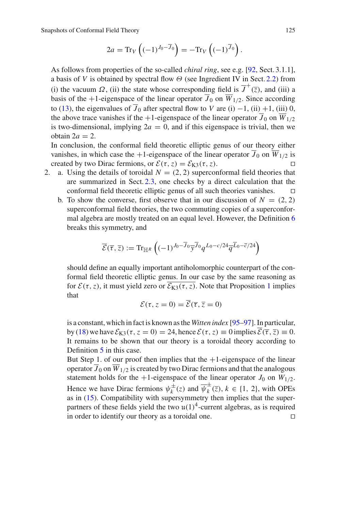$$
2a = \text{Tr}_V\left((-1)^{J_0 - \overline{J}_0}\right) = -\text{Tr}_V\left((-1)^{\overline{J}_0}\right).
$$

As follows from properties of the so-called *chiral ring*, see e.g. [\[92,](#page-40-2) Sect. 3.1.1], a basis of *V* is obtained by spectral flow  $\Theta$  (see Ingredient IV in Sect. [2.2\)](#page-10-0) from (i) the vacuum  $\Omega$ , (ii) the state whose corresponding field is  $\overline{J}^+(\overline{z})$ , and (iii) a basis of the +1-eigenspace of the linear operator  $\overline{J}_0$  on  $\overline{W}_{1/2}$ . Since according to [\(13\)](#page-16-0), the eigenvalues of  $\overline{J}_0$  after spectral flow to *V* are (i) −1, (ii) +1, (iii) 0, the above trace vanishes if the +1-eigenspace of the linear operator  $\overline{J}_0$  on  $\overline{W}_{1/2}$ is two-dimensional, implying  $2a = 0$ , and if this eigenspace is trivial, then we obtain  $2a = 2$ .

In conclusion, the conformal field theoretic elliptic genus of our theory either vanishes, in which case the +1-eigenspace of the linear operator  $\overline{J}_0$  on  $\overline{W}_{1/2}$  is created by two Dirac fermions or  $\mathcal{E}(\tau, z) = \mathcal{E}_{Y_1}(\tau, z)$ created by two Dirac fermions, or  $\mathcal{E}(\tau, z) = \mathcal{E}_{K3}(\tau, z)$ .

- 2. a. Using the details of toroidal  $N = (2, 2)$  superconformal field theories that are summarized in Sect. [2.3,](#page-17-0) one checks by a direct calculation that the conformal field theoretic elliptic genus of all such theories vanishes.
	- b. To show the converse, first observe that in our discussion of  $N = (2, 2)$ superconformal field theories, the two commuting copies of a superconformal algebra are mostly treated on an equal level. However, the Definition [6](#page-19-1) breaks this symmetry, and

$$
\overline{\mathcal{E}}(\overline{\tau},\overline{z}) := \text{Tr}_{\mathbb{H}^R} \left( (-1)^{J_0 - \overline{J}_0} \overline{y}^{\overline{J}_0} q^{L_0 - c/24} \overline{q}^{\overline{L}_0 - \overline{c}/24} \right)
$$

should define an equally important antiholomorphic counterpart of the conformal field theoretic elliptic genus. In our case by the same reasoning as for  $\mathcal{E}(\tau, z)$ , it must yield zero or  $\overline{\mathcal{E}_{K3}(\tau, z)}$ . Note that Proposition [1](#page-19-0) implies that

$$
\mathcal{E}(\tau, z = 0) = \overline{\mathcal{E}}(\overline{\tau}, \overline{z} = 0)
$$

is a constant, which in fact is known as the *Witten index* [\[95](#page-40-18)[–97\]](#page-40-12). In particular, by [\(18\)](#page-21-2) we have  $\mathcal{E}_{K3}(\tau, z = 0) = 24$ , hence  $\mathcal{E}(\tau, z) = 0$  implies  $\overline{\mathcal{E}}(\overline{\tau}, \overline{z}) = 0$ . It remains to be shown that our theory is a toroidal theory according to Definition [5](#page-17-4) in this case.

But Step 1. of our proof then implies that the  $+1$ -eigenspace of the linear operator  $J_0$  on  $W_{1/2}$  is created by two Dirac fermions and that the analogous statement holds for the +1-eigenspace of the linear operator  $J_0$  on  $W_{1/2}$ . Hence we have Dirac fermions  $\psi_k^{\pm}(z)$  and  $\overline{\psi}_k^{\pm}(\overline{z})$ ,  $k \in \{1, 2\}$ , with OPEs as in  $(15)$ . Compatibility with supersymmetry then implies that the superpartners of these fields yield the two  $u(1)^4$ -current algebras, as is required in order to identify our theory as a toroidal one.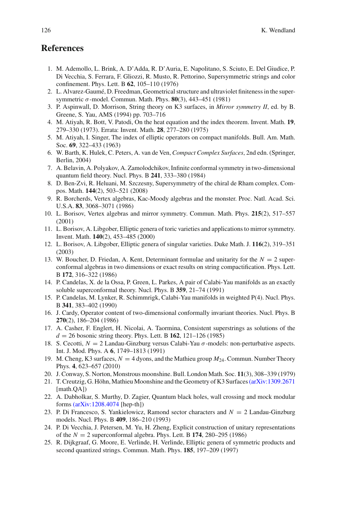# <span id="page-37-19"></span>**References**

- 1. M. Ademollo, L. Brink, A. D'Adda, R. D'Auria, E. Napolitano, S. Sciuto, E. Del Giudice, P. Di Vecchia, S. Ferrara, F. Gliozzi, R. Musto, R. Pettorino, Supersymmetric strings and color confinement. Phys. Lett. B **62**, 105–110 (1976)
- <span id="page-37-21"></span>2. L. Alvarez-Gaumé, D. Freedman, Geometrical structure and ultraviolet finiteness in the supersymmetric σ-model. Commun. Math. Phys. **80**(3), 443–451 (1981)
- <span id="page-37-18"></span>3. P. Aspinwall, D. Morrison, String theory on K3 surfaces, in *Mirror symmetry II*, ed. by B. Greene, S. Yau, AMS (1994) pp. 703–716
- <span id="page-37-24"></span>4. M. Atiyah, R. Bott, V. Patodi, On the heat equation and the index theorem. Invent. Math. **19**, 279–330 (1973). Errata: Invent. Math. **28**, 277–280 (1975)
- <span id="page-37-10"></span>5. M. Atiyah, I. Singer, The index of elliptic operators on compact manifolds. Bull. Am. Math. Soc. **69**, 322–433 (1963)
- <span id="page-37-16"></span>6. W. Barth, K. Hulek, C. Peters, A. van de Ven, *Compact Complex Surfaces*, 2nd edn. (Springer, Berlin, 2004)
- <span id="page-37-0"></span>7. A. Belavin, A. Polyakov, A. Zamolodchikov, Infinite conformal symmetry in two-dimensional quantum field theory. Nucl. Phys. B **241**, 333–380 (1984)
- <span id="page-37-14"></span>8. D. Ben-Zvi, R. Heluani, M. Szczesny, Supersymmetry of the chiral de Rham complex. Compos. Math. **144**(2), 503–521 (2008)
- 9. R. Borcherds, Vertex algebras, Kac-Moody algebras and the monster. Proc. Natl. Acad. Sci. U.S.A. **83**, 3068–3071 (1986)
- <span id="page-37-15"></span><span id="page-37-3"></span>10. L. Borisov, Vertex algebras and mirror symmetry. Commun. Math. Phys. **215**(2), 517–557 (2001)
- <span id="page-37-11"></span>11. L. Borisov, A. Libgober, Elliptic genera of toric varieties and applications to mirror symmetry. Invent. Math. **140**(2), 453–485 (2000)
- <span id="page-37-13"></span>12. L. Borisov, A. Libgober, Elliptic genera of singular varieties. Duke Math. J. **116**(2), 319–351 (2003)
- <span id="page-37-6"></span>13. W. Boucher, D. Friedan, A. Kent, Determinant formulae and unitarity for the *N* = 2 superconformal algebras in two dimensions or exact results on string compactification. Phys. Lett. B **172**, 316–322 (1986)
- <span id="page-37-1"></span>14. P. Candelas, X. de la Ossa, P. Green, L. Parkes, A pair of Calabi-Yau manifolds as an exactly soluble superconformal theory. Nucl. Phys. B **359**, 21–74 (1991)
- <span id="page-37-2"></span>15. P. Candelas, M. Lynker, R. Schimmrigk, Calabi-Yau manifolds in weighted P(4). Nucl. Phys. B **341**, 383–402 (1990)
- <span id="page-37-5"></span>16. J. Cardy, Operator content of two-dimensional conformally invariant theories. Nucl. Phys. B **270**(2), 186–204 (1986)
- <span id="page-37-8"></span>17. A. Casher, F. Englert, H. Nicolai, A. Taormina, Consistent superstrings as solutions of the *d* = 26 bosonic string theory. Phys. Lett. B **162**, 121–126 (1985)
- <span id="page-37-17"></span>18. S. Cecotti, *N* = 2 Landau-Ginzburg versus Calabi-Yau σ-models: non-perturbative aspects. Int. J. Mod. Phys. A **6**, 1749–1813 (1991)
- <span id="page-37-22"></span>19. M. Cheng, K3 surfaces,  $N = 4$  dyons, and the Mathieu group  $M_{24}$ . Commun. Number Theory Phys. **4**, 623–657 (2010)
- <span id="page-37-4"></span>20. J. Conway, S. Norton, Monstrous moonshine. Bull. London Math. Soc. **11**(3), 308–339 (1979)
- <span id="page-37-23"></span>21. T. Creutzig, G. Höhn, Mathieu Moonshine and the Geometry of K3 Surfaces [\(arXiv:1309.2671](http://arxiv.org/abs/1309.2671)) [math.QA])
- <span id="page-37-20"></span>22. A. Dabholkar, S. Murthy, D. Zagier, Quantum black holes, wall crossing and mock modular forms [\(arXiv:1208.4074](http://arxiv.org/abs/1208.4074) [hep-th])
- <span id="page-37-9"></span>23. P. Di Francesco, S. Yankielowicz, Ramond sector characters and *N* = 2 Landau-Ginzburg models. Nucl. Phys. B **409**, 186–210 (1993)
- <span id="page-37-7"></span>24. P. Di Vecchia, J. Petersen, M. Yu, H. Zheng, Explicit construction of unitary representations of the  $N = 2$  superconformal algebra. Phys. Lett. B 174, 280–295 (1986)
- <span id="page-37-12"></span>25. R. Dijkgraaf, G. Moore, E. Verlinde, H. Verlinde, Elliptic genera of symmetric products and second quantized strings. Commun. Math. Phys. **185**, 197–209 (1997)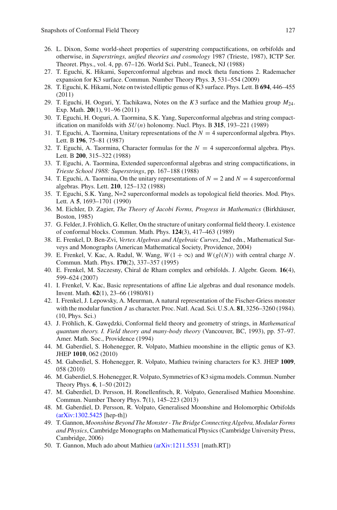- <span id="page-38-11"></span>26. L. Dixon, Some world-sheet properties of superstring compactifications, on orbifolds and otherwise, in *Superstrings, unified theories and cosmology* 1987 (Trieste, 1987), ICTP Ser. Theoret. Phys., vol. 4, pp. 67–126. World Sci. Publ., Teaneck, NJ (1988)
- <span id="page-38-15"></span>27. T. Eguchi, K. Hikami, Superconformal algebras and mock theta functions 2. Rademacher expansion for K3 surface. Commun. Number Theory Phys. **3**, 531–554 (2009)
- <span id="page-38-17"></span>28. T. Eguchi, K. Hikami, Note on twisted elliptic genus of K3 surface. Phys. Lett. B**694**, 446–455 (2011)
- <span id="page-38-16"></span>29. T. Eguchi, H. Ooguri, Y. Tachikawa, Notes on the *K*3 surface and the Mathieu group *M*24. Exp. Math. **20**(1), 91–96 (2011)
- <span id="page-38-8"></span>30. T. Eguchi, H. Ooguri, A. Taormina, S.K. Yang, Superconformal algebras and string compactification on manifolds with *SU*(*n*) holonomy. Nucl. Phys. B **315**, 193–221 (1989)
- <span id="page-38-12"></span>31. T. Eguchi, A. Taormina, Unitary representations of the *N* = 4 superconformal algebra. Phys. Lett. B **196**, 75–81 (1987)
- <span id="page-38-14"></span>32. T. Eguchi, A. Taormina, Character formulas for the  $N = 4$  superconformal algebra. Phys. Lett. B **200**, 315–322 (1988)
- 33. T. Eguchi, A. Taormina, Extended superconformal algebras and string compactifications, in *Trieste School 1988: Superstrings*, pp. 167–188 (1988)
- <span id="page-38-13"></span>34. T. Eguchi, A. Taormina, On the unitary representations of  $N = 2$  and  $N = 4$  superconformal algebras. Phys. Lett. **210**, 125–132 (1988)
- <span id="page-38-4"></span>35. T. Eguchi, S.K. Yang, N=2 superconformal models as topological field theories. Mod. Phys. Lett. A **5**, 1693–1701 (1990)
- <span id="page-38-10"></span>36. M. Eichler, D. Zagier, *The Theory of Jacobi Forms, Progress in Mathematics* (Birkhäuser, Boston, 1985)
- <span id="page-38-6"></span>37. G. Felder, J. Fröhlich, G. Keller, On the structure of unitary conformal field theory. I. existence of conformal blocks. Commun. Math. Phys. **124**(3), 417–463 (1989)
- <span id="page-38-3"></span>38. E. Frenkel, D. Ben-Zvi, *Vertex Algebras and Algebraic Curves*, 2nd edn., Mathematical Surveys and Monographs (American Mathematical Society, Providence, 2004)
- <span id="page-38-5"></span>39. E. Frenkel, V. Kac, A. Radul, W. Wang,  $W(1 + \infty)$  and  $W(gl(N))$  with central charge N. Commun. Math. Phys. **170**(2), 337–357 (1995)
- <span id="page-38-9"></span>40. E. Frenkel, M. Szczesny, Chiral de Rham complex and orbifolds. J. Algebr. Geom. **16**(4), 599–624 (2007)
- <span id="page-38-2"></span>41. I. Frenkel, V. Kac, Basic representations of affine Lie algebras and dual resonance models. Invent. Math. **62**(1), 23–66 (1980/81)
- <span id="page-38-0"></span>42. I. Frenkel, J. Lepowsky, A. Meurman, A natural representation of the Fischer-Griess monster with the modular function *J* as character. Proc. Natl. Acad. Sci. U.S.A. **81**, 3256–3260 (1984). (10, Phys. Sci.)
- <span id="page-38-7"></span>43. J. Fröhlich, K. Gawędzki, Conformal field theory and geometry of strings, in *Mathematical quantum theory. I. Field theory and many-body theory* (Vancouver, BC, 1993), pp. 57–97. Amer. Math. Soc., Providence (1994)
- <span id="page-38-18"></span>44. M. Gaberdiel, S. Hohenegger, R. Volpato, Mathieu moonshine in the elliptic genus of K3. JHEP **1010**, 062 (2010)
- <span id="page-38-19"></span>45. M. Gaberdiel, S. Hohenegger, R. Volpato, Mathieu twining characters for K3. JHEP **1009**, 058 (2010)
- <span id="page-38-21"></span>46. M. Gaberdiel, S. Hohenegger, R. Volpato, Symmetries of K3 sigma models. Commun. Number Theory Phys. **6**, 1–50 (2012)
- <span id="page-38-22"></span>47. M. Gaberdiel, D. Persson, H. Ronellenfitsch, R. Volpato, Generalised Mathieu Moonshine. Commun. Number Theory Phys. **7**(1), 145–223 (2013)
- <span id="page-38-23"></span>48. M. Gaberdiel, D. Persson, R. Volpato, Generalised Moonshine and Holomorphic Orbifolds [\(arXiv:1302.5425](http://arxiv.org/abs/1302.5425) [hep-th])
- <span id="page-38-1"></span>49. T. Gannon, *Moonshine Beyond The Monster - The Bridge Connecting Algebra, Modular Forms and Physics*, Cambridge Monographs on Mathematical Physics (Cambridge University Press, Cambridge, 2006)
- <span id="page-38-20"></span>50. T. Gannon, Much ado about Mathieu [\(arXiv:1211.5531](http://arxiv.org/abs/1211.5531) [math.RT])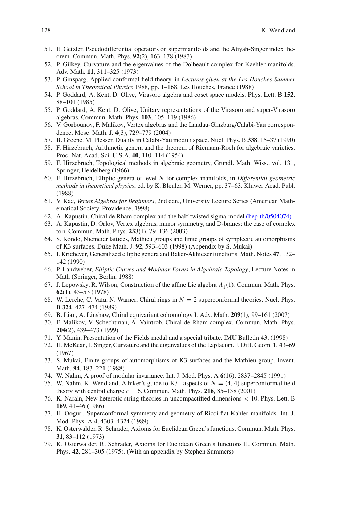- <span id="page-39-26"></span>51. E. Getzler, Pseudodifferential operators on supermanifolds and the Atiyah-Singer index theorem. Commun. Math. Phys. **92**(2), 163–178 (1983)
- <span id="page-39-27"></span>52. P. Gilkey, Curvature and the eigenvalues of the Dolbeault complex for Kaehler manifolds. Adv. Math. **11**, 311–325 (1973)
- <span id="page-39-9"></span>53. P. Ginsparg, Applied conformal field theory, in *Lectures given at the Les Houches Summer School in Theoretical Physics* 1988, pp. 1–168. Les Houches, France (1988)
- <span id="page-39-28"></span>54. P. Goddard, A. Kent, D. Olive, Virasoro algebra and coset space models. Phys. Lett. B **152**, 88–101 (1985)
- <span id="page-39-8"></span>55. P. Goddard, A. Kent, D. Olive, Unitary representations of the Virasoro and super-Virasoro algebras. Commun. Math. Phys. **103**, 105–119 (1986)
- <span id="page-39-19"></span>56. V. Gorbounov, F. Malikov, Vertex algebras and the Landau-Ginzburg/Calabi-Yau correspondence. Mosc. Math. J. **4**(3), 729–779 (2004)
- <span id="page-39-0"></span>57. B. Greene, M. Plesser, Duality in Calabi-Yau moduli space. Nucl. Phys. B **338**, 15–37 (1990)
- <span id="page-39-15"></span>58. F. Hirzebruch, Arithmetic genera and the theorem of Riemann-Roch for algebraic varieties. Proc. Nat. Acad. Sci. U.S.A. **40**, 110–114 (1954)
- <span id="page-39-12"></span>59. F. Hirzebruch, Topological methods in algebraic geometry, Grundl. Math. Wiss., vol. 131, Springer, Heidelberg (1966)
- <span id="page-39-13"></span>60. F. Hirzebruch, Elliptic genera of level *N* for complex manifolds, in *Differential geometric methods in theoretical physics*, ed. by K. Bleuler, M. Werner, pp. 37–63. Kluwer Acad. Publ. (1988)
- <span id="page-39-3"></span>61. V. Kac, *Vertex Algebras for Beginners*, 2nd edn., University Lecture Series (American Mathematical Society, Providence, 1998)
- <span id="page-39-21"></span>62. A. Kapustin, Chiral de Rham complex and the half-twisted sigma-model [\(hep-th/0504074\)](http://arxiv.org/abs/(hep-th/0504074))
- <span id="page-39-11"></span>63. A. Kapustin, D. Orlov, Vertex algebras, mirror symmetry, and D-branes: the case of complex tori. Commun. Math. Phys. **233**(1), 79–136 (2003)
- <span id="page-39-25"></span>64. S. Kondo, Niemeier lattices, Mathieu groups and finite groups of symplectic automorphisms of K3 surfaces. Duke Math. J. **92**, 593–603 (1998) (Appendix by S. Mukai)
- <span id="page-39-16"></span>65. I. Krichever, Generalized elliptic genera and Baker-Akhiezer functions. Math. Notes **47**, 132– 142 (1990)
- <span id="page-39-14"></span>66. P. Landweber, *Elliptic Curves and Modular Forms in Algebraic Topology*, Lecture Notes in Math (Springer, Berlin, 1988)
- <span id="page-39-4"></span>67. J. Lepowsky, R. Wilson, Construction of the affine Lie algebra *A*1(1). Commun. Math. Phys. **62**(1), 43–53 (1978)
- <span id="page-39-1"></span>68. W. Lerche, C. Vafa, N. Warner, Chiral rings in *N* = 2 superconformal theories. Nucl. Phys. B **324**, 427–474 (1989)
- <span id="page-39-20"></span>69. B. Lian, A. Linshaw, Chiral equivariant cohomology I. Adv. Math. **209**(1), 99–161 (2007)
- <span id="page-39-18"></span>70. F. Malikov, V. Schechtman, A. Vaintrob, Chiral de Rham complex. Commun. Math. Phys. **204**(2), 439–473 (1999)
- <span id="page-39-2"></span>71. Y. Manin, Presentation of the Fields medal and a special tribute. IMU Bulletin 43, (1998)
- <span id="page-39-17"></span>72. H. McKean, I. Singer, Curvature and the eigenvalues of the Laplacian. J. Diff. Geom. **1**, 43–69 (1967)
- <span id="page-39-24"></span>73. S. Mukai, Finite groups of automorphisms of K3 surfaces and the Mathieu group. Invent. Math. **94**, 183–221 (1988)
- <span id="page-39-7"></span>74. W. Nahm, A proof of modular invariance. Int. J. Mod. Phys. A **6**(16), 2837–2845 (1991)
- <span id="page-39-22"></span>75. W. Nahm, K. Wendland, A hiker's guide to K3 - aspects of  $N = (4, 4)$  superconformal field theory with central charge  $c = 6$ . Commun. Math. Phys. 216, 85–138 (2001)
- <span id="page-39-10"></span>76. K. Narain, New heterotic string theories in uncompactified dimensions < 10. Phys. Lett. B **169**, 41–46 (1986)
- <span id="page-39-23"></span>77. H. Ooguri, Superconformal symmetry and geometry of Ricci flat Kahler manifolds. Int. J. Mod. Phys. A **4**, 4303–4324 (1989)
- <span id="page-39-5"></span>78. K. Osterwalder, R. Schrader, Axioms for Euclidean Green's functions. Commun. Math. Phys. **31**, 83–112 (1973)
- <span id="page-39-6"></span>79. K. Osterwalder, R. Schrader, Axioms for Euclidean Green's functions II. Commun. Math. Phys. **42**, 281–305 (1975). (With an appendix by Stephen Summers)